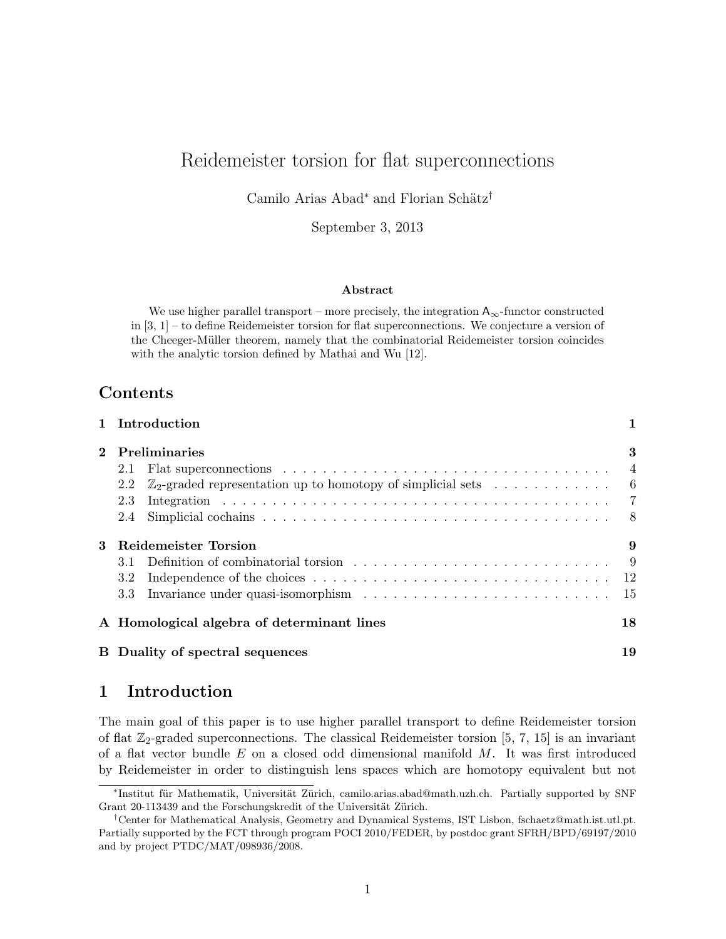# Reidemeister torsion for flat superconnections

Camilo Arias Abad<sup>∗</sup> and Florian Schätz<sup>†</sup>

September 3, 2013

#### Abstract

We use higher parallel transport – more precisely, the integration  $A_{\infty}$ -functor constructed in [3, 1] – to define Reidemeister torsion for flat superconnections. We conjecture a version of the Cheeger-M¨uller theorem, namely that the combinatorial Reidemeister torsion coincides with the analytic torsion defined by Mathai and Wu [12].

## Contents

|              | 1 Introduction                                                                                                                                                                                                                                   |                                       |
|--------------|--------------------------------------------------------------------------------------------------------------------------------------------------------------------------------------------------------------------------------------------------|---------------------------------------|
| $\mathbf{2}$ | <b>Preliminaries</b><br>Flat superconnections $\ldots \ldots \ldots \ldots \ldots \ldots \ldots \ldots \ldots \ldots \ldots$<br>2.1<br>$\mathbb{Z}_2$ -graded representation up to homotopy of simplicial sets $\dots \dots \dots$<br>2.2<br>2.3 | 3<br>$\overline{4}$<br>$\overline{6}$ |
| 3            | 2.4<br><b>Reidemeister Torsion</b><br>3.1<br>3.2<br>3.3                                                                                                                                                                                          | 8 <sup>8</sup><br>9<br>- 9<br>-15     |
|              | A Homological algebra of determinant lines                                                                                                                                                                                                       | 18                                    |
|              | <b>B</b> Duality of spectral sequences                                                                                                                                                                                                           | 19                                    |

## 1 Introduction

The main goal of this paper is to use higher parallel transport to define Reidemeister torsion of flat  $\mathbb{Z}_2$ -graded superconnections. The classical Reidemeister torsion [5, 7, 15] is an invariant of a flat vector bundle  $E$  on a closed odd dimensional manifold  $M$ . It was first introduced by Reidemeister in order to distinguish lens spaces which are homotopy equivalent but not

<sup>\*</sup>Institut für Mathematik, Universität Zürich, camilo.arias.abad@math.uzh.ch. Partially supported by SNF Grant 20-113439 and the Forschungskredit of the Universität Zürich.

<sup>†</sup>Center for Mathematical Analysis, Geometry and Dynamical Systems, IST Lisbon, fschaetz@math.ist.utl.pt. Partially supported by the FCT through program POCI 2010/FEDER, by postdoc grant SFRH/BPD/69197/2010 and by project PTDC/MAT/098936/2008.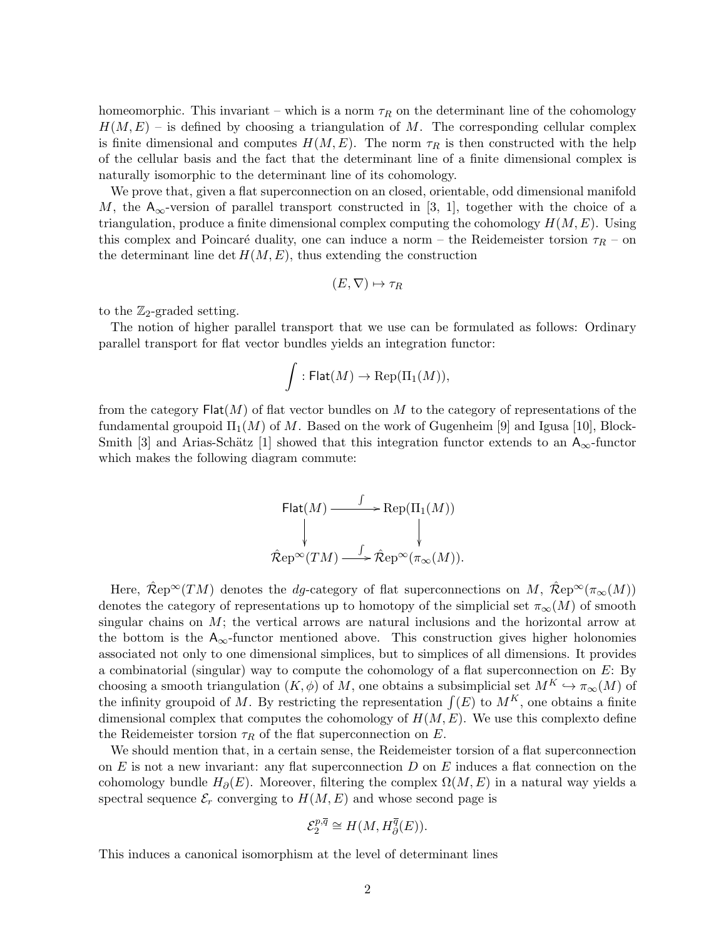homeomorphic. This invariant – which is a norm  $\tau_R$  on the determinant line of the cohomology  $H(M, E)$  – is defined by choosing a triangulation of M. The corresponding cellular complex is finite dimensional and computes  $H(M, E)$ . The norm  $\tau_R$  is then constructed with the help of the cellular basis and the fact that the determinant line of a finite dimensional complex is naturally isomorphic to the determinant line of its cohomology.

We prove that, given a flat superconnection on an closed, orientable, odd dimensional manifold M, the A<sub>∞</sub>-version of parallel transport constructed in [3, 1], together with the choice of a triangulation, produce a finite dimensional complex computing the cohomology  $H(M, E)$ . Using this complex and Poincaré duality, one can induce a norm – the Reidemeister torsion  $\tau_R$  – on the determinant line det  $H(M, E)$ , thus extending the construction

$$
(E, \nabla) \mapsto \tau_R
$$

to the  $\mathbb{Z}_2$ -graded setting.

The notion of higher parallel transport that we use can be formulated as follows: Ordinary parallel transport for flat vector bundles yields an integration functor:

$$
\int: \mathsf{Flat}(M) \to \mathrm{Rep}(\Pi_1(M)),
$$

from the category  $\textsf{Flat}(M)$  of flat vector bundles on M to the category of representations of the fundamental groupoid  $\Pi_1(M)$  of M. Based on the work of Gugenheim [9] and Igusa [10], Block-Smith [3] and Arias-Schätz [1] showed that this integration functor extends to an  $A_{\infty}$ -functor which makes the following diagram commute:

Flat(M) 
$$
\xrightarrow{f}
$$
 Rep( $\Pi_1(M)$ )  
\n $\downarrow$   
\n $\hat{\mathcal{R}}ep^{\infty}(TM) \xrightarrow{f} \hat{\mathcal{R}}ep^{\infty}(\pi_{\infty}(M)).$ 

Here,  $\hat{\mathcal{R}}e^{\infty}(TM)$  denotes the *dg*-category of flat superconnections on M,  $\hat{\mathcal{R}}e^{\infty}(\pi_{\infty}(M))$ denotes the category of representations up to homotopy of the simplicial set  $\pi_{\infty}(M)$  of smooth singular chains on  $M$ ; the vertical arrows are natural inclusions and the horizontal arrow at the bottom is the  $A_{\infty}$ -functor mentioned above. This construction gives higher holonomies associated not only to one dimensional simplices, but to simplices of all dimensions. It provides a combinatorial (singular) way to compute the cohomology of a flat superconnection on  $E$ : By choosing a smooth triangulation  $(K, \phi)$  of M, one obtains a subsimplicial set  $M^K \hookrightarrow \pi_{\infty}(M)$  of the infinity groupoid of M. By restricting the representation  $\int(E)$  to  $M^K$ , one obtains a finite dimensional complex that computes the cohomology of  $H(M, E)$ . We use this complexto define the Reidemeister torsion  $\tau_R$  of the flat superconnection on E.

We should mention that, in a certain sense, the Reidemeister torsion of a flat superconnection on  $E$  is not a new invariant: any flat superconnection  $D$  on  $E$  induces a flat connection on the cohomology bundle  $H_{\partial}(E)$ . Moreover, filtering the complex  $\Omega(M, E)$  in a natural way yields a spectral sequence  $\mathcal{E}_r$  converging to  $H(M, E)$  and whose second page is

$$
\mathcal{E}_2^{p,\overline{q}} \cong H(M, H_{\partial}^{\overline{q}}(E)).
$$

This induces a canonical isomorphism at the level of determinant lines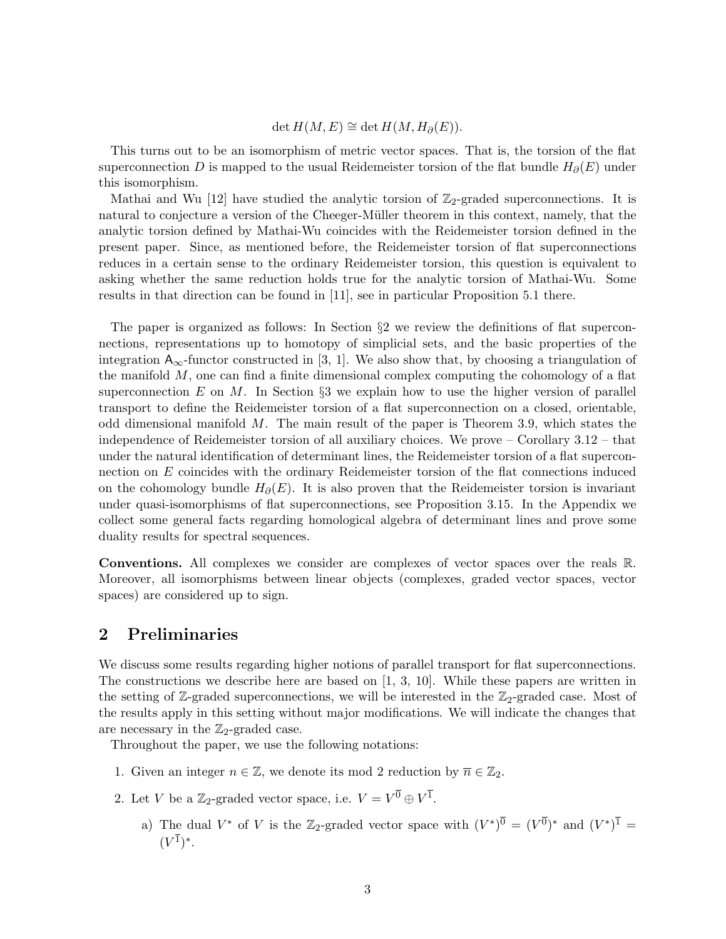#### $\det H(M, E) \cong \det H(M, H_\partial(E)).$

This turns out to be an isomorphism of metric vector spaces. That is, the torsion of the flat superconnection D is mapped to the usual Reidemeister torsion of the flat bundle  $H_{\partial}(E)$  under this isomorphism.

Mathai and Wu [12] have studied the analytic torsion of  $\mathbb{Z}_2$ -graded superconnections. It is natural to conjecture a version of the Cheeger-Müller theorem in this context, namely, that the analytic torsion defined by Mathai-Wu coincides with the Reidemeister torsion defined in the present paper. Since, as mentioned before, the Reidemeister torsion of flat superconnections reduces in a certain sense to the ordinary Reidemeister torsion, this question is equivalent to asking whether the same reduction holds true for the analytic torsion of Mathai-Wu. Some results in that direction can be found in [11], see in particular Proposition 5.1 there.

The paper is organized as follows: In Section  $\S2$  we review the definitions of flat superconnections, representations up to homotopy of simplicial sets, and the basic properties of the integration  $A_{\infty}$ -functor constructed in [3, 1]. We also show that, by choosing a triangulation of the manifold  $M$ , one can find a finite dimensional complex computing the cohomology of a flat superconnection E on M. In Section  $\S 3$  we explain how to use the higher version of parallel transport to define the Reidemeister torsion of a flat superconnection on a closed, orientable, odd dimensional manifold  $M$ . The main result of the paper is Theorem 3.9, which states the independence of Reidemeister torsion of all auxiliary choices. We prove – Corollary 3.12 – that under the natural identification of determinant lines, the Reidemeister torsion of a flat superconnection on E coincides with the ordinary Reidemeister torsion of the flat connections induced on the cohomology bundle  $H_{\partial}(E)$ . It is also proven that the Reidemeister torsion is invariant under quasi-isomorphisms of flat superconnections, see Proposition 3.15. In the Appendix we collect some general facts regarding homological algebra of determinant lines and prove some duality results for spectral sequences.

Conventions. All complexes we consider are complexes of vector spaces over the reals R. Moreover, all isomorphisms between linear objects (complexes, graded vector spaces, vector spaces) are considered up to sign.

### 2 Preliminaries

We discuss some results regarding higher notions of parallel transport for flat superconnections. The constructions we describe here are based on [1, 3, 10]. While these papers are written in the setting of  $\mathbb{Z}$ -graded superconnections, we will be interested in the  $\mathbb{Z}_2$ -graded case. Most of the results apply in this setting without major modifications. We will indicate the changes that are necessary in the  $\mathbb{Z}_2$ -graded case.

Throughout the paper, we use the following notations:

- 1. Given an integer  $n \in \mathbb{Z}$ , we denote its mod 2 reduction by  $\overline{n} \in \mathbb{Z}_2$ .
- 2. Let V be a  $\mathbb{Z}_2$ -graded vector space, i.e.  $V = V^{\overline{0}} \oplus V^{\overline{1}}$ .
	- a) The dual  $V^*$  of V is the Z<sub>2</sub>-graded vector space with  $(V^*)^{\overline{0}} = (V^{\overline{0}})^*$  and  $(V^*)^{\overline{1}} =$  $(V^{\bar{1}})^*$ .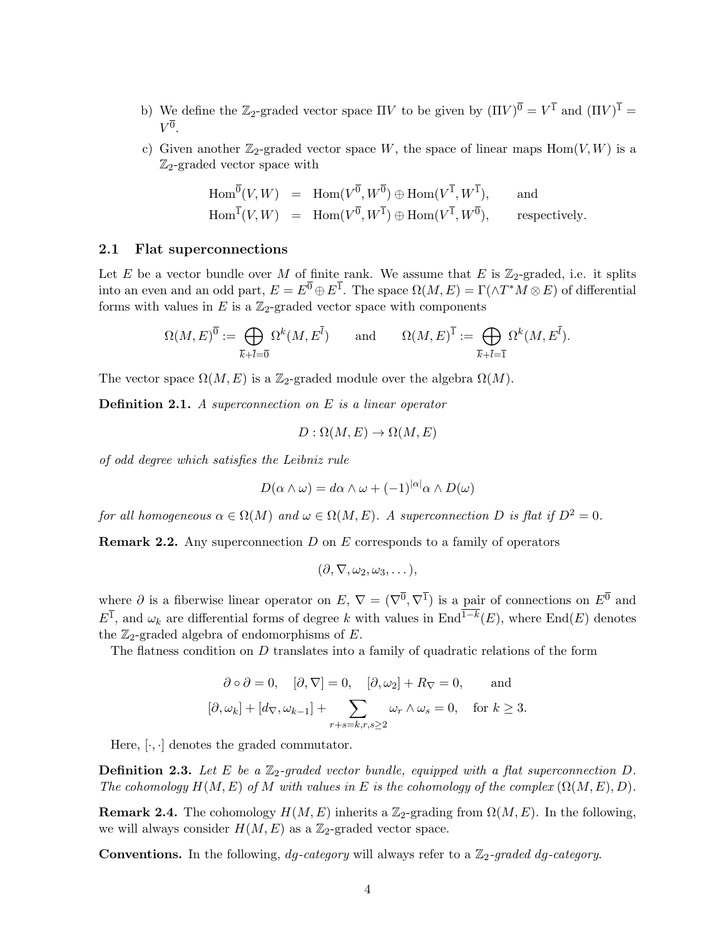- b) We define the  $\mathbb{Z}_2$ -graded vector space  $\Pi V$  to be given by  $(\Pi V)^{\overline{0}} = V^{\overline{1}}$  and  $(\Pi V)^{\overline{1}} =$  $V^{\overline{0}}$ .
- c) Given another  $\mathbb{Z}_2$ -graded vector space W, the space of linear maps  $\text{Hom}(V, W)$  is a  $\mathbb{Z}_2$ -graded vector space with

$$
\text{Hom}^{\overline{0}}(V, W) = \text{Hom}(V^{\overline{0}}, W^{\overline{0}}) \oplus \text{Hom}(V^{\overline{1}}, W^{\overline{1}}), \quad \text{and}
$$
  

$$
\text{Hom}^{\overline{1}}(V, W) = \text{Hom}(V^{\overline{0}}, W^{\overline{1}}) \oplus \text{Hom}(V^{\overline{1}}, W^{\overline{0}}), \quad \text{respectively.}
$$

#### 2.1 Flat superconnections

Let E be a vector bundle over M of finite rank. We assume that E is  $\mathbb{Z}_2$ -graded, i.e. it splits into an even and an odd part,  $E = E^{\overline{0}} \oplus E^{\overline{1}}$ . The space  $\Omega(M, E) = \Gamma(\wedge T^*M \otimes E)$  of differential forms with values in  $E$  is a  $\mathbb{Z}_2$ -graded vector space with components

$$
\Omega(M,E)^{\overline{0}}:=\bigoplus_{\overline{k}+\overline{l}=\overline{0}}\Omega^k(M,E^{\overline{l}})\qquad\text{and}\qquad \Omega(M,E)^{\overline{1}}:=\bigoplus_{\overline{k}+\overline{l}=\overline{1}}\Omega^k(M,E^{\overline{l}}).
$$

The vector space  $\Omega(M, E)$  is a Z<sub>2</sub>-graded module over the algebra  $\Omega(M)$ .

**Definition 2.1.** A superconnection on  $E$  is a linear operator

$$
D: \Omega(M, E) \to \Omega(M, E)
$$

of odd degree which satisfies the Leibniz rule

$$
D(\alpha \wedge \omega) = d\alpha \wedge \omega + (-1)^{|\alpha|} \alpha \wedge D(\omega)
$$

for all homogeneous  $\alpha \in \Omega(M)$  and  $\omega \in \Omega(M, E)$ . A superconnection D is flat if  $D^2 = 0$ .

**Remark 2.2.** Any superconnection  $D$  on  $E$  corresponds to a family of operators

$$
(\partial, \nabla, \omega_2, \omega_3, \dots),
$$

where  $\partial$  is a fiberwise linear operator on  $E, \nabla = (\nabla^{\overline{0}}, \nabla^{\overline{1}})$  is a pair of connections on  $E^{\overline{0}}$  and  $E^{\overline{1}}$ , and  $\omega_k$  are differential forms of degree k with values in  $\text{End}^{1-k}(E)$ , where  $\text{End}(E)$  denotes the  $\mathbb{Z}_2$ -graded algebra of endomorphisms of E.

The flatness condition on D translates into a family of quadratic relations of the form

$$
\partial \circ \partial = 0
$$
,  $[\partial, \nabla] = 0$ ,  $[\partial, \omega_2] + R_{\nabla} = 0$ , and  
 $[\partial, \omega_k] + [d_{\nabla}, \omega_{k-1}] + \sum_{r+s=k, r, s \ge 2} \omega_r \wedge \omega_s = 0$ , for  $k \ge 3$ .

Here,  $[\cdot, \cdot]$  denotes the graded commutator.

**Definition 2.3.** Let E be a  $\mathbb{Z}_2$ -graded vector bundle, equipped with a flat superconnection D. The cohomology  $H(M, E)$  of M with values in E is the cohomology of the complex  $(\Omega(M, E), D)$ .

**Remark 2.4.** The cohomology  $H(M, E)$  inherits a  $\mathbb{Z}_2$ -grading from  $\Omega(M, E)$ . In the following, we will always consider  $H(M, E)$  as a  $\mathbb{Z}_2$ -graded vector space.

**Conventions.** In the following,  $dq$ -category will always refer to a  $\mathbb{Z}_2$ -graded  $dq$ -category.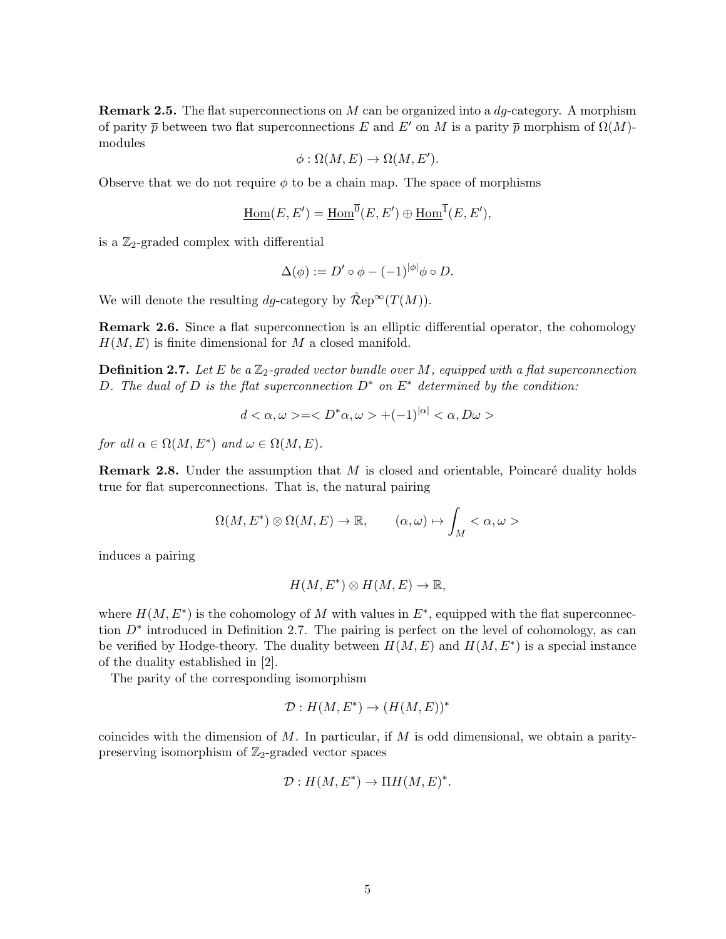**Remark 2.5.** The flat superconnections on  $M$  can be organized into a  $dg$ -category. A morphism of parity  $\bar{p}$  between two flat superconnections E and E' on M is a parity  $\bar{p}$  morphism of  $\Omega(M)$ modules

$$
\phi : \Omega(M, E) \to \Omega(M, E').
$$

Observe that we do not require  $\phi$  to be a chain map. The space of morphisms

$$
\underline{\mathrm{Hom}}(E,E')=\underline{\mathrm{Hom}}^{\overline{0}}(E,E')\oplus \underline{\mathrm{Hom}}^{\overline{1}}(E,E'),
$$

is a  $\mathbb{Z}_2$ -graded complex with differential

$$
\Delta(\phi) := D' \circ \phi - (-1)^{|\phi|} \phi \circ D.
$$

We will denote the resulting dq-category by  $\mathcal{\hat{R}}ep^{\infty}(T(M)).$ 

Remark 2.6. Since a flat superconnection is an elliptic differential operator, the cohomology  $H(M, E)$  is finite dimensional for M a closed manifold.

**Definition 2.7.** Let E be a  $\mathbb{Z}_2$ -graded vector bundle over M, equipped with a flat superconnection D. The dual of D is the flat superconnection  $D^*$  on  $E^*$  determined by the condition:

$$
d < \alpha, \omega> = +(-1)^{|\alpha|} < \alpha, D\omega>
$$

for all  $\alpha \in \Omega(M, E^*)$  and  $\omega \in \Omega(M, E)$ .

**Remark 2.8.** Under the assumption that  $M$  is closed and orientable, Poincaré duality holds true for flat superconnections. That is, the natural pairing

$$
\Omega(M, E^*) \otimes \Omega(M, E) \to \mathbb{R}, \qquad (\alpha, \omega) \mapsto \int_M < \alpha, \omega > \frac{1}{2}
$$

induces a pairing

$$
H(M, E^*) \otimes H(M, E) \to \mathbb{R},
$$

where  $H(M, E^*)$  is the cohomology of M with values in  $E^*$ , equipped with the flat superconnection  $D^*$  introduced in Definition 2.7. The pairing is perfect on the level of cohomology, as can be verified by Hodge-theory. The duality between  $H(M, E)$  and  $H(M, E^*)$  is a special instance of the duality established in [2].

The parity of the corresponding isomorphism

$$
\mathcal{D}:H(M,E^*)\to (H(M,E))^*
$$

coincides with the dimension of  $M$ . In particular, if  $M$  is odd dimensional, we obtain a paritypreserving isomorphism of  $\mathbb{Z}_2$ -graded vector spaces

$$
\mathcal{D}: H(M, E^*) \to \Pi H(M, E)^*.
$$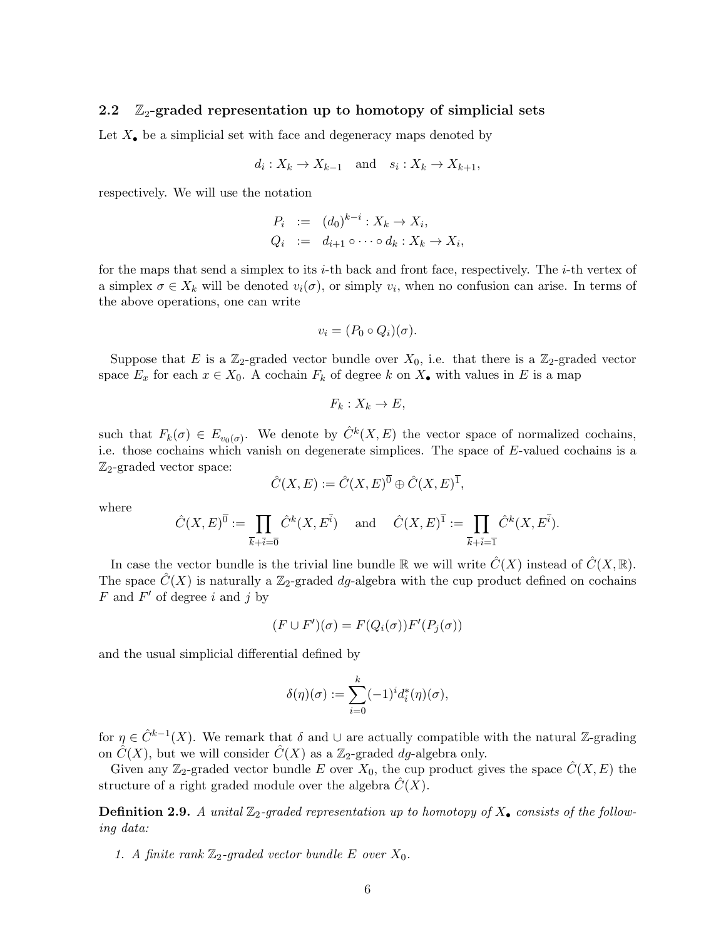#### 2.2  $\mathbb{Z}_2$ -graded representation up to homotopy of simplicial sets

Let  $X_{\bullet}$  be a simplicial set with face and degeneracy maps denoted by

$$
d_i: X_k \to X_{k-1} \quad \text{and} \quad s_i: X_k \to X_{k+1},
$$

respectively. We will use the notation

$$
P_i := (d_0)^{k-i} : X_k \to X_i,
$$
  
\n
$$
Q_i := d_{i+1} \circ \cdots \circ d_k : X_k \to X_i,
$$

for the maps that send a simplex to its  $i$ -th back and front face, respectively. The  $i$ -th vertex of a simplex  $\sigma \in X_k$  will be denoted  $v_i(\sigma)$ , or simply  $v_i$ , when no confusion can arise. In terms of the above operations, one can write

$$
v_i = (P_0 \circ Q_i)(\sigma).
$$

Suppose that E is a  $\mathbb{Z}_2$ -graded vector bundle over  $X_0$ , i.e. that there is a  $\mathbb{Z}_2$ -graded vector space  $E_x$  for each  $x \in X_0$ . A cochain  $F_k$  of degree k on  $X_{\bullet}$  with values in E is a map

$$
F_k: X_k \to E,
$$

such that  $F_k(\sigma) \in E_{v_0(\sigma)}$ . We denote by  $\hat{C}^k(X, E)$  the vector space of normalized cochains, i.e. those cochains which vanish on degenerate simplices. The space of E-valued cochains is a  $\mathbb{Z}_2$ -graded vector space:

$$
\hat{C}(X,E) := \hat{C}(X,E)^{\overline{0}} \oplus \hat{C}(X,E)^{\overline{1}},
$$

where

$$
\hat{C}(X, E)^{\overline{0}} := \prod_{\overline{k} + \overline{i} = \overline{0}} \hat{C}^k(X, E^{\overline{i}}) \quad \text{and} \quad \hat{C}(X, E)^{\overline{1}} := \prod_{\overline{k} + \overline{i} = \overline{1}} \hat{C}^k(X, E^{\overline{i}}).
$$

In case the vector bundle is the trivial line bundle R we will write  $\hat{C}(X)$  instead of  $\hat{C}(X,\mathbb{R})$ . The space  $\hat{C}(X)$  is naturally a Z<sub>2</sub>-graded dg-algebra with the cup product defined on cochains  $F$  and  $F'$  of degree i and j by

$$
(F \cup F')(\sigma) = F(Q_i(\sigma))F'(P_j(\sigma))
$$

and the usual simplicial differential defined by

$$
\delta(\eta)(\sigma) := \sum_{i=0}^k (-1)^i d_i^*(\eta)(\sigma),
$$

for  $\eta \in \hat{C}^{k-1}(X)$ . We remark that  $\delta$  and  $\cup$  are actually compatible with the natural Z-grading on  $C(X)$ , but we will consider  $C(X)$  as a Z<sub>2</sub>-graded dg-algebra only.

Given any  $\mathbb{Z}_2$ -graded vector bundle E over  $X_0$ , the cup product gives the space  $\hat{C}(X, E)$  the structure of a right graded module over the algebra  $C(X)$ .

**Definition 2.9.** A unital  $\mathbb{Z}_2$ -graded representation up to homotopy of  $X_{\bullet}$  consists of the following data:

1. A finite rank  $\mathbb{Z}_2$ -graded vector bundle E over  $X_0$ .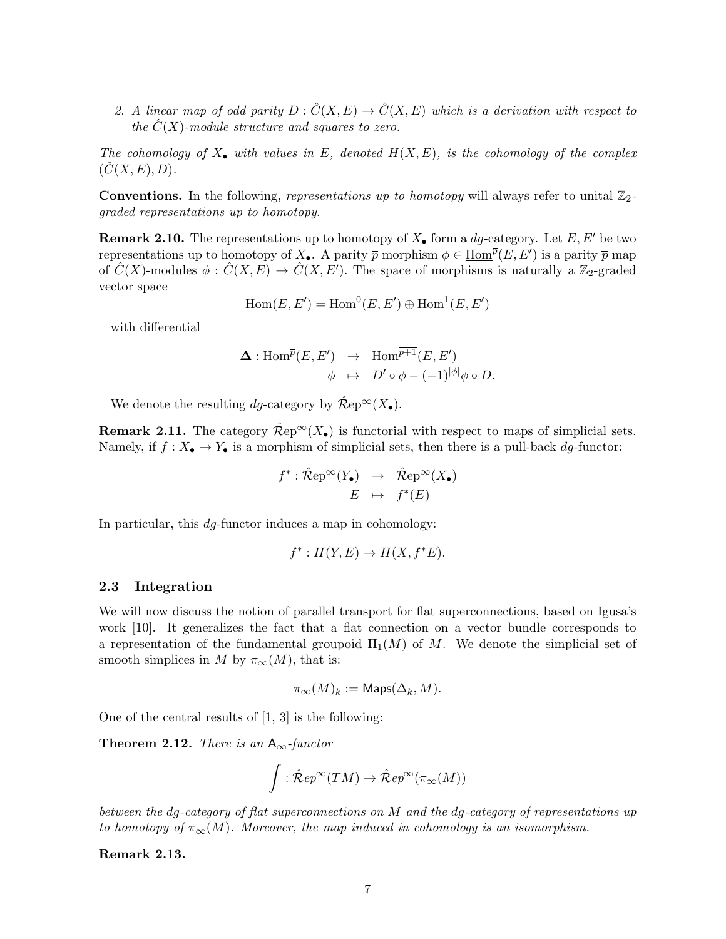2. A linear map of odd parity  $D: \hat{C}(X, E) \to \hat{C}(X, E)$  which is a derivation with respect to the  $\hat{C}(X)$ -module structure and squares to zero.

The cohomology of  $X_{\bullet}$  with values in E, denoted  $H(X, E)$ , is the cohomology of the complex  $(C(X, E), D).$ 

**Conventions.** In the following, representations up to homotopy will always refer to unital  $\mathbb{Z}_2$ graded representations up to homotopy.

**Remark 2.10.** The representations up to homotopy of  $X_{\bullet}$  form a dg-category. Let  $E, E'$  be two representations up to homotopy of  $X_{\bullet}$ . A parity  $\bar{p}$  morphism  $\phi \in \underline{\text{Hom}}^{\bar{p}}(E, E')$  is a parity  $\bar{p}$  map of  $\hat{C}(X)$ -modules  $\phi : \hat{C}(X, E) \to \hat{C}(X, E')$ . The space of morphisms is naturally a  $\mathbb{Z}_2$ -graded vector space

$$
\underline{\mathrm{Hom}}(E, E') = \underline{\mathrm{Hom}}^{\overline{0}}(E, E') \oplus \underline{\mathrm{Hom}}^{\overline{1}}(E, E')
$$

with differential

$$
\begin{array}{rcl}\n\boldsymbol{\Delta} : \underline{\operatorname{Hom}}^{\overline{p}}(E,E') & \to & \underline{\operatorname{Hom}}^{\overline{p+1}}(E,E') \\
\phi & \mapsto & D' \circ \phi - (-1)^{|\phi|} \phi \circ D.\n\end{array}
$$

We denote the resulting dg-category by  $\hat{\mathcal{R}}ep^{\infty}(X_{\bullet}).$ 

**Remark 2.11.** The category  $\hat{\mathcal{R}}e^{i\omega}(X_{\bullet})$  is functorial with respect to maps of simplicial sets. Namely, if  $f: X_{\bullet} \to Y_{\bullet}$  is a morphism of simplicial sets, then there is a pull-back dg-functor:

$$
f^* : \hat{\mathcal{R}}ep^{\infty}(Y_{\bullet}) \rightarrow \hat{\mathcal{R}}ep^{\infty}(X_{\bullet})
$$

$$
E \rightarrow f^*(E)
$$

In particular, this *dg*-functor induces a map in cohomology:

$$
f^*: H(Y, E) \to H(X, f^*E).
$$

#### 2.3 Integration

We will now discuss the notion of parallel transport for flat superconnections, based on Igusa's work [10]. It generalizes the fact that a flat connection on a vector bundle corresponds to a representation of the fundamental groupoid  $\Pi_1(M)$  of M. We denote the simplicial set of smooth simplices in M by  $\pi_{\infty}(M)$ , that is:

$$
\pi_{\infty}(M)_k := \text{Maps}(\Delta_k, M).
$$

One of the central results of  $[1, 3]$  is the following:

**Theorem 2.12.** There is an  $A_{\infty}$ -functor

$$
\int : \hat{\mathcal R}ep^\infty(TM) \to \hat{\mathcal R}ep^\infty(\pi_\infty(M))
$$

between the dg-category of flat superconnections on M and the dg-category of representations up to homotopy of  $\pi_{\infty}(M)$ . Moreover, the map induced in cohomology is an isomorphism.

#### Remark 2.13.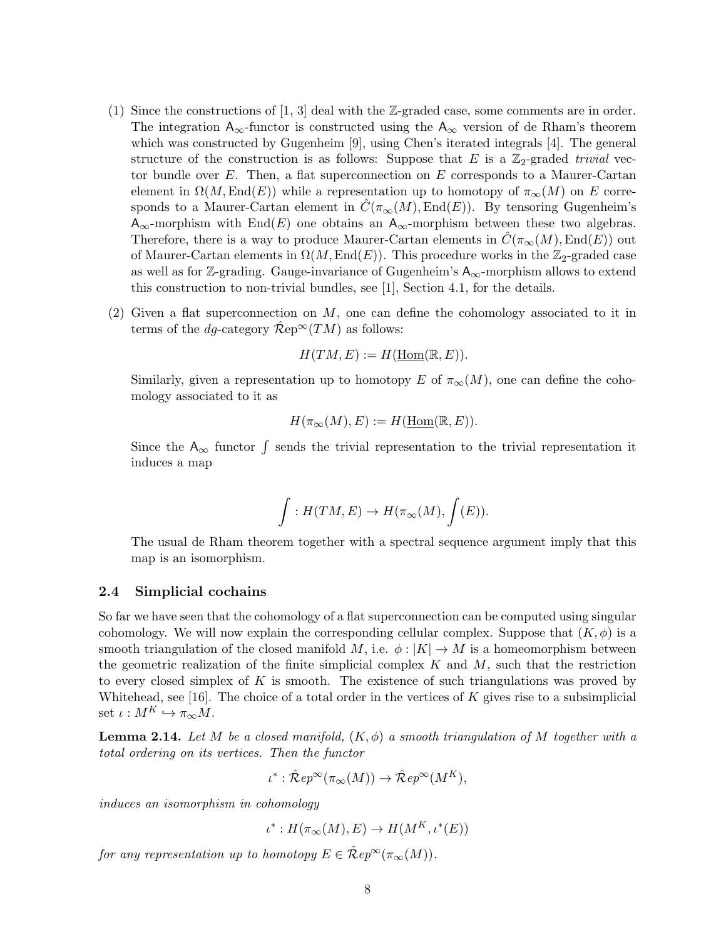- (1) Since the constructions of [1, 3] deal with the Z-graded case, some comments are in order. The integration  $A_{\infty}$ -functor is constructed using the  $A_{\infty}$  version of de Rham's theorem which was constructed by Gugenheim [9], using Chen's iterated integrals [4]. The general structure of the construction is as follows: Suppose that E is a  $\mathbb{Z}_2$ -graded trivial vector bundle over  $E$ . Then, a flat superconnection on  $E$  corresponds to a Maurer-Cartan element in  $\Omega(M,\text{End}(E))$  while a representation up to homotopy of  $\pi_{\infty}(M)$  on E corresponds to a Maurer-Cartan element in  $C(\pi_{\infty}(M), \text{End}(E))$ . By tensoring Gugenheim's  $A_{\infty}$ -morphism with End(E) one obtains an  $A_{\infty}$ -morphism between these two algebras. Therefore, there is a way to produce Maurer-Cartan elements in  $C(\pi_{\infty}(M), \text{End}(E))$  out of Maurer-Cartan elements in  $\Omega(M, \text{End}(E))$ . This procedure works in the Z<sub>2</sub>-graded case as well as for Z-grading. Gauge-invariance of Gugenheim's  $A_{\infty}$ -morphism allows to extend this construction to non-trivial bundles, see [1], Section 4.1, for the details.
- (2) Given a flat superconnection on  $M$ , one can define the cohomology associated to it in terms of the dg-category  $\mathcal{R}ep^{\infty}(TM)$  as follows:

 $H(TM, E) := H(\text{Hom}(\mathbb{R}, E)).$ 

Similarly, given a representation up to homotopy E of  $\pi_{\infty}(M)$ , one can define the cohomology associated to it as

$$
H(\pi_{\infty}(M), E) := H(\underline{\text{Hom}}(\mathbb{R}, E)).
$$

Since the  $A_{\infty}$  functor  $\int$  sends the trivial representation to the trivial representation it induces a map

$$
\int: H(TM,E) \to H(\pi_{\infty}(M), \int(E)).
$$

The usual de Rham theorem together with a spectral sequence argument imply that this map is an isomorphism.

#### 2.4 Simplicial cochains

So far we have seen that the cohomology of a flat superconnection can be computed using singular cohomology. We will now explain the corresponding cellular complex. Suppose that  $(K, \phi)$  is a smooth triangulation of the closed manifold M, i.e.  $\phi: |K| \to M$  is a homeomorphism between the geometric realization of the finite simplicial complex  $K$  and  $M$ , such that the restriction to every closed simplex of K is smooth. The existence of such triangulations was proved by Whitehead, see [16]. The choice of a total order in the vertices of  $K$  gives rise to a subsimplicial set  $\iota : M^K \hookrightarrow \pi_{\infty}M$ .

**Lemma 2.14.** Let M be a closed manifold,  $(K, \phi)$  a smooth triangulation of M together with a total ordering on its vertices. Then the functor

$$
\iota^* : \hat{\mathcal{R}}ep^{\infty}(\pi_{\infty}(M)) \to \hat{\mathcal{R}}ep^{\infty}(M^K),
$$

induces an isomorphism in cohomology

 $\iota^*: H(\pi_\infty(M), E) \to H(M^K, \iota^*(E))$ 

for any representation up to homotopy  $E \in \mathcal{\hat{R}}ep^{\infty}(\pi_{\infty}(M)).$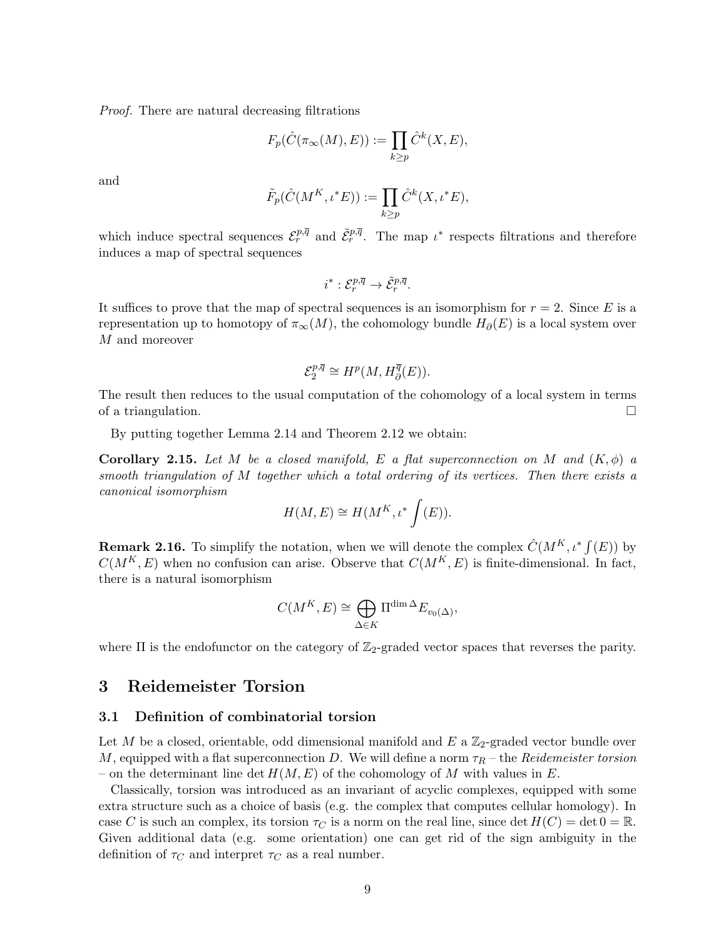Proof. There are natural decreasing filtrations

$$
F_p(\hat{C}(\pi_\infty(M), E)) := \prod_{k \ge p} \hat{C}^k(X, E),
$$

and

$$
\tilde{F}_p(\hat{C}(M^K, \iota^*E)) := \prod_{k \ge p} \hat{C}^k(X, \iota^*E),
$$

which induce spectral sequences  $\mathcal{E}_r^{p,\overline{q}}$  and  $\tilde{\mathcal{E}}_r^{p,\overline{q}}$ . The map  $\iota^*$  respects filtrations and therefore induces a map of spectral sequences

$$
i^*:\mathcal{E}_r^{p,\overline{q}}\to \tilde{\mathcal{E}}_r^{p,\overline{q}}.
$$

It suffices to prove that the map of spectral sequences is an isomorphism for  $r = 2$ . Since E is a representation up to homotopy of  $\pi_{\infty}(M)$ , the cohomology bundle  $H_{\partial}(E)$  is a local system over M and moreover

$$
\mathcal{E}^{p,\overline{q}}_2\cong H^p(M,H^{\overline{q}}_{\partial}(E)).
$$

The result then reduces to the usual computation of the cohomology of a local system in terms of a triangulation.  $\Box$ 

By putting together Lemma 2.14 and Theorem 2.12 we obtain:

**Corollary 2.15.** Let M be a closed manifold, E a flat superconnection on M and  $(K, \phi)$  a smooth triangulation of M together which a total ordering of its vertices. Then there exists a canonical isomorphism

$$
H(M, E) \cong H(M^K, \iota^* \int (E)).
$$

**Remark 2.16.** To simplify the notation, when we will denote the complex  $\hat{C}(M^K, \iota^* f(E))$  by  $C(M^K, E)$  when no confusion can arise. Observe that  $C(M^K, E)$  is finite-dimensional. In fact, there is a natural isomorphism

$$
C(M^K,E)\cong \bigoplus_{\Delta\in K}\Pi^{\dim\Delta}E_{v_0(\Delta)},
$$

where  $\Pi$  is the endofunctor on the category of  $\mathbb{Z}_2$ -graded vector spaces that reverses the parity.

### 3 Reidemeister Torsion

#### 3.1 Definition of combinatorial torsion

Let M be a closed, orientable, odd dimensional manifold and  $E$  a  $\mathbb{Z}_2$ -graded vector bundle over M, equipped with a flat superconnection D. We will define a norm  $\tau_R$  – the Reidemeister torsion – on the determinant line det  $H(M, E)$  of the cohomology of M with values in E.

Classically, torsion was introduced as an invariant of acyclic complexes, equipped with some extra structure such as a choice of basis (e.g. the complex that computes cellular homology). In case C is such an complex, its torsion  $\tau_C$  is a norm on the real line, since det  $H(C) = \det 0 = \mathbb{R}$ . Given additional data (e.g. some orientation) one can get rid of the sign ambiguity in the definition of  $\tau_C$  and interpret  $\tau_C$  as a real number.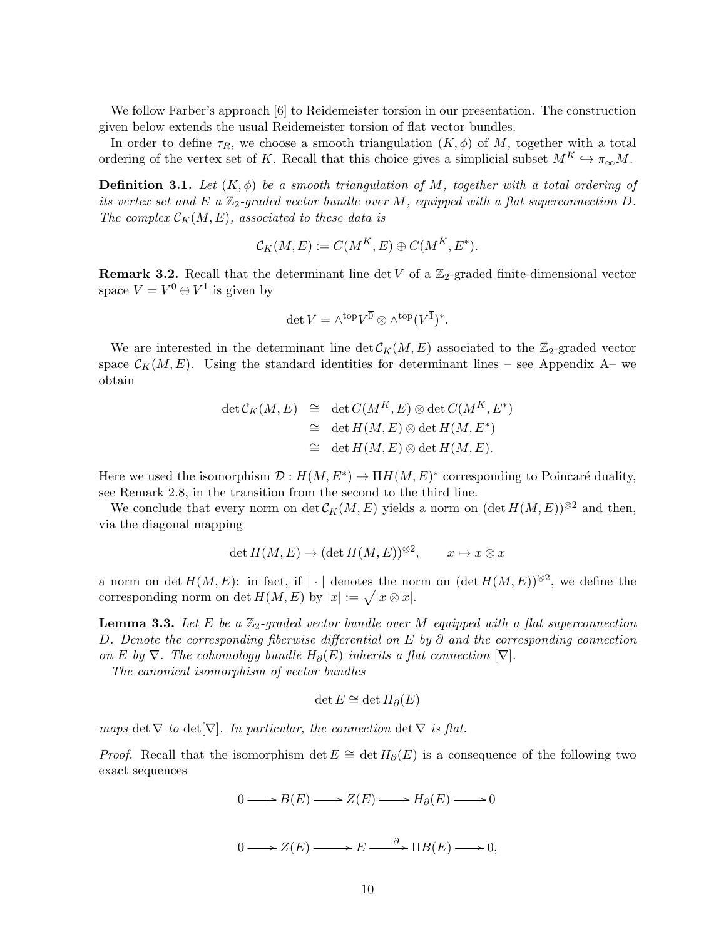We follow Farber's approach [6] to Reidemeister torsion in our presentation. The construction given below extends the usual Reidemeister torsion of flat vector bundles.

In order to define  $\tau_R$ , we choose a smooth triangulation  $(K, \phi)$  of M, together with a total ordering of the vertex set of K. Recall that this choice gives a simplicial subset  $M^K \hookrightarrow \pi_{\infty}M$ .

**Definition 3.1.** Let  $(K, \phi)$  be a smooth triangulation of M, together with a total ordering of its vertex set and E a  $\mathbb{Z}_2$ -graded vector bundle over M, equipped with a flat superconnection D. The complex  $\mathcal{C}_K(M, E)$ , associated to these data is

$$
\mathcal{C}_K(M, E) := C(M^K, E) \oplus C(M^K, E^*).
$$

**Remark 3.2.** Recall that the determinant line det V of a  $\mathbb{Z}_2$ -graded finite-dimensional vector space  $V = V^{\overline{0}} \oplus V^{\overline{1}}$  is given by

$$
\det V = \wedge^{\text{top}} V^{\overline{0}} \otimes \wedge^{\text{top}} (V^{\overline{1}})^*.
$$

We are interested in the determinant line  $\det C_K(M, E)$  associated to the  $\mathbb{Z}_2$ -graded vector space  $\mathcal{C}_K(M, E)$ . Using the standard identities for determinant lines – see Appendix A– we obtain

$$
\det \mathcal{C}_K(M, E) \cong \det C(M^K, E) \otimes \det C(M^K, E^*)
$$
  
\n
$$
\cong \det H(M, E) \otimes \det H(M, E^*)
$$
  
\n
$$
\cong \det H(M, E) \otimes \det H(M, E).
$$

Here we used the isomorphism  $\mathcal{D}: H(M, E^*) \to \Pi H(M, E)^*$  corresponding to Poincaré duality, see Remark 2.8, in the transition from the second to the third line.

We conclude that every norm on det  $\mathcal{C}_K(M, E)$  yields a norm on  $(\det H(M, E))^{\otimes 2}$  and then, via the diagonal mapping

$$
\det H(M, E) \to (\det H(M, E))^{\otimes 2}, \qquad x \mapsto x \otimes x
$$

a norm on det  $H(M, E)$ : in fact, if | · | denotes the norm on  $(\det H(M, E))^{*2}$ , we define the corresponding norm on det  $H(M, E)$  by  $|x| := \sqrt{|x \otimes x|}$ .

**Lemma 3.3.** Let E be a  $\mathbb{Z}_2$ -graded vector bundle over M equipped with a flat superconnection D. Denote the corresponding fiberwise differential on E by  $\partial$  and the corresponding connection on E by  $\nabla$ . The cohomology bundle  $H_{\partial}(E)$  inherits a flat connection  $[\nabla]$ .

The canonical isomorphism of vector bundles

$$
\det E \cong \det H_{\partial}(E)
$$

maps det  $\nabla$  to det  $[\nabla]$ . In particular, the connection det  $\nabla$  is flat.

*Proof.* Recall that the isomorphism det  $E \cong \det H_{\partial}(E)$  is a consequence of the following two exact sequences

$$
0 \longrightarrow B(E) \longrightarrow Z(E) \longrightarrow H_{\partial}(E) \longrightarrow 0
$$

$$
0 \longrightarrow Z(E) \longrightarrow E \longrightarrow B(E) \longrightarrow 0,
$$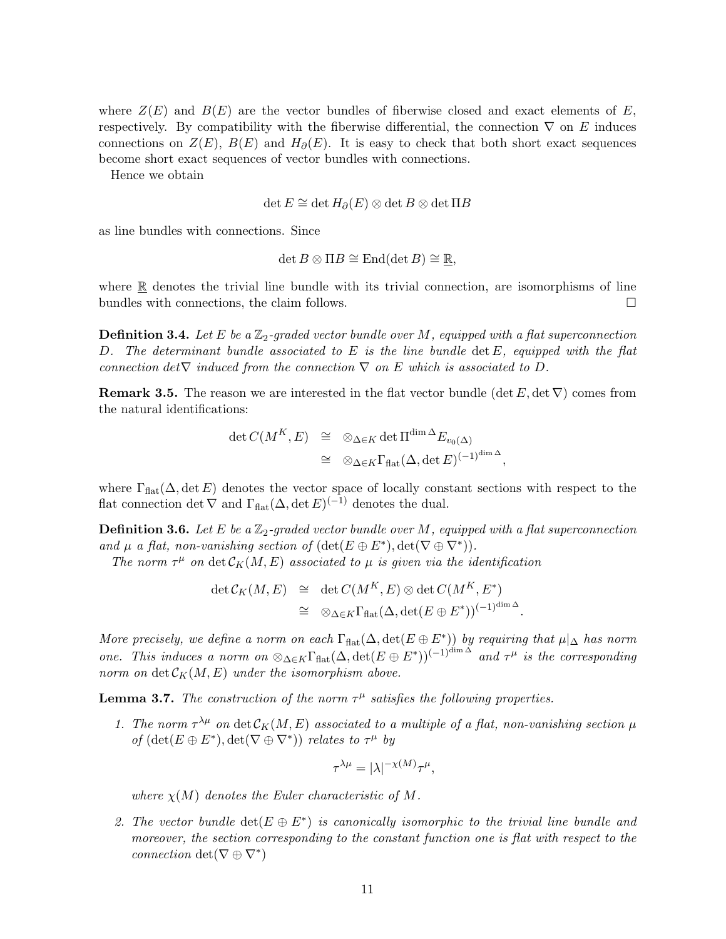where  $Z(E)$  and  $B(E)$  are the vector bundles of fiberwise closed and exact elements of E, respectively. By compatibility with the fiberwise differential, the connection  $\nabla$  on E induces connections on  $Z(E)$ ,  $B(E)$  and  $H_{\partial}(E)$ . It is easy to check that both short exact sequences become short exact sequences of vector bundles with connections.

Hence we obtain

$$
\det E \cong \det H_{\partial}(E) \otimes \det B \otimes \det \Pi B
$$

as line bundles with connections. Since

$$
\det B\otimes \Pi B\cong \mathrm{End}(\det B)\cong \mathbb{R},
$$

where  $\mathbb R$  denotes the trivial line bundle with its trivial connection, are isomorphisms of line bundles with connections, the claim follows.

**Definition 3.4.** Let E be a  $\mathbb{Z}_2$ -graded vector bundle over M, equipped with a flat superconnection D. The determinant bundle associated to  $E$  is the line bundle  $\det E$ , equipped with the flat connection det $\nabla$  induced from the connection  $\nabla$  on E which is associated to D.

**Remark 3.5.** The reason we are interested in the flat vector bundle (det  $E$ , det  $\nabla$ ) comes from the natural identifications:

$$
\begin{array}{rcl}\n\det C(M^K, E) & \cong & \otimes_{\Delta \in K} \det \Pi^{\dim \Delta} E_{v_0(\Delta)} \\
& \cong & \otimes_{\Delta \in K} \Gamma_{\text{flat}}(\Delta, \det E)^{(-1)^{\dim \Delta}},\n\end{array}
$$

where  $\Gamma_{\text{flat}}(\Delta, \det E)$  denotes the vector space of locally constant sections with respect to the flat connection det  $\nabla$  and  $\Gamma_{\text{flat}}(\Delta, \det E)^{(-1)}$  denotes the dual.

**Definition 3.6.** Let E be a  $\mathbb{Z}_2$ -graded vector bundle over M, equipped with a flat superconnection and  $\mu$  a flat, non-vanishing section of  $(\det(E \oplus E^*), \det(\nabla \oplus \nabla^*))$ .

The norm  $\tau^{\mu}$  on  $\det \mathcal{C}_K(M, E)$  associated to  $\mu$  is given via the identification

$$
\begin{array}{rcl}\n\det \mathcal{C}_K(M,E) & \cong & \det C(M^K,E) \otimes \det C(M^K,E^*) \\
& \cong & \otimes_{\Delta \in K} \Gamma_{\text{flat}}(\Delta, \det(E \oplus E^*))^{(-1)^{\dim \Delta}}.\n\end{array}
$$

More precisely, we define a norm on each  $\Gamma_{\text{flat}}(\Delta, \det(E \oplus E^*))$  by requiring that  $\mu|_{\Delta}$  has norm one. This induces a norm on  $\otimes_{\Delta \in K} \Gamma_{\text{flat}}(\Delta, \det(E \oplus E^*))^{(-1)^{\dim \Delta}}$  and  $\tau^{\mu}$  is the corresponding norm on det  $\mathcal{C}_K(M, E)$  under the isomorphism above.

**Lemma 3.7.** The construction of the norm  $\tau^{\mu}$  satisfies the following properties.

1. The norm  $\tau^{\lambda\mu}$  on  $\det \mathcal{C}_K(M, E)$  associated to a multiple of a flat, non-vanishing section  $\mu$ of  $(\det(E \oplus E^*), \det(\nabla \oplus \nabla^*))$  relates to  $\tau^{\mu}$  by

$$
\tau^{\lambda\mu} = |\lambda|^{-\chi(M)} \tau^{\mu},
$$

where  $\chi(M)$  denotes the Euler characteristic of M.

2. The vector bundle  $\det(E \oplus E^*)$  is canonically isomorphic to the trivial line bundle and moreover, the section corresponding to the constant function one is flat with respect to the connection  $\det(\nabla \oplus \nabla^*)$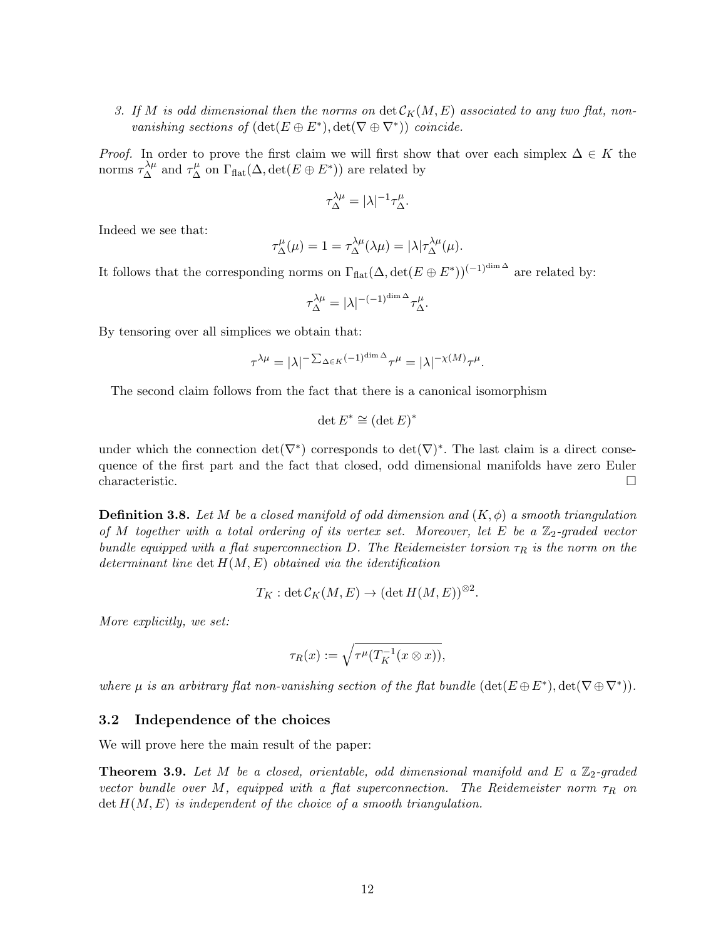3. If M is odd dimensional then the norms on  $\det C_K(M, E)$  associated to any two flat, nonvanishing sections of  $(\det(E \oplus E^*), \det(\nabla \oplus \nabla^*))$  coincide.

*Proof.* In order to prove the first claim we will first show that over each simplex  $\Delta \in K$  the norms  $\tau_{\Delta}^{\lambda\mu}$  and  $\tau_{\Delta}^{\mu}$  on  $\Gamma_{\text{flat}}(\Delta, \det(E \oplus E^*))$  are related by

$$
\tau_{\Delta}^{\lambda \mu} = |\lambda|^{-1} \tau_{\Delta}^{\mu}.
$$

Indeed we see that:

$$
\tau_{\Delta}^{\mu}(\mu) = 1 = \tau_{\Delta}^{\lambda \mu}(\lambda \mu) = |\lambda| \tau_{\Delta}^{\lambda \mu}(\mu).
$$

It follows that the corresponding norms on  $\Gamma_{\text{flat}}(\Delta, \det(E \oplus E^*))^{(-1)^{\dim \Delta}}$  are related by:

$$
\tau_\Delta^{\lambda\mu}=|\lambda|^{-(-1)^{\dim\Delta}}\tau_\Delta^\mu.
$$

By tensoring over all simplices we obtain that:

$$
\tau^{\lambda\mu} = |\lambda|^{-\sum_{\Delta \in K} (-1)^{\dim \Delta}} \tau^{\mu} = |\lambda|^{-\chi(M)} \tau^{\mu}.
$$

The second claim follows from the fact that there is a canonical isomorphism

$$
\det E^* \cong (\det E)^*
$$

under which the connection  $\det(\nabla^*)$  corresponds to  $\det(\nabla)^*$ . The last claim is a direct consequence of the first part and the fact that closed, odd dimensional manifolds have zero Euler  $\Box$ characteristic.

**Definition 3.8.** Let M be a closed manifold of odd dimension and  $(K, \phi)$  a smooth triangulation of M together with a total ordering of its vertex set. Moreover, let E be a  $\mathbb{Z}_2$ -graded vector bundle equipped with a flat superconnection D. The Reidemeister torsion  $\tau_R$  is the norm on the determinant line det  $H(M, E)$  obtained via the identification

$$
T_K: \det \mathcal{C}_K(M, E) \to (\det H(M, E))^{\otimes 2}.
$$

More explicitly, we set:

$$
\tau_R(x) := \sqrt{\tau^{\mu}(T_K^{-1}(x \otimes x))},
$$

where  $\mu$  is an arbitrary flat non-vanishing section of the flat bundle  $(\det(E \oplus E^*), \det(\nabla \oplus \nabla^*))$ .

#### 3.2 Independence of the choices

We will prove here the main result of the paper:

**Theorem 3.9.** Let M be a closed, orientable, odd dimensional manifold and E a  $\mathbb{Z}_2$ -graded vector bundle over M, equipped with a flat superconnection. The Reidemeister norm  $\tau_R$  on  $\det H(M, E)$  is independent of the choice of a smooth triangulation.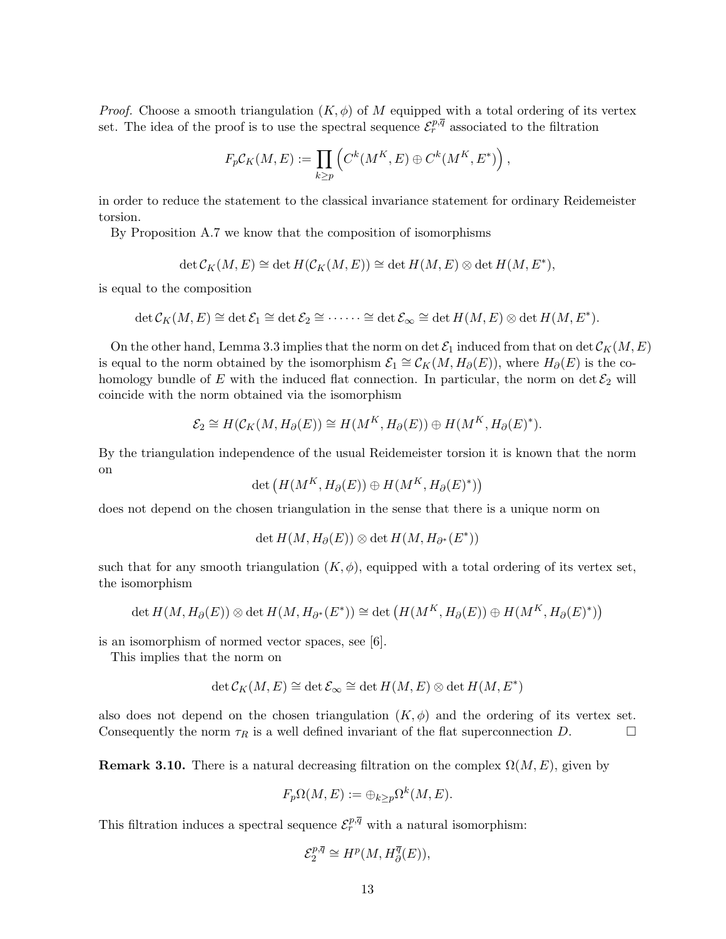*Proof.* Choose a smooth triangulation  $(K, \phi)$  of M equipped with a total ordering of its vertex set. The idea of the proof is to use the spectral sequence  $\mathcal{E}_r^{p,\overline{q}}$  associated to the filtration

$$
F_p C_K(M,E) := \prod_{k \ge p} \left( C^k(M^K,E) \oplus C^k(M^K,E^*) \right),
$$

in order to reduce the statement to the classical invariance statement for ordinary Reidemeister torsion.

By Proposition A.7 we know that the composition of isomorphisms

$$
\det \mathcal{C}_K(M, E) \cong \det H(\mathcal{C}_K(M, E)) \cong \det H(M, E) \otimes \det H(M, E^*),
$$

is equal to the composition

$$
\det \mathcal{C}_K(M,E) \cong \det \mathcal{E}_1 \cong \det \mathcal{E}_2 \cong \cdots \cdots \cong \det \mathcal{E}_{\infty} \cong \det H(M,E) \otimes \det H(M,E^*).
$$

On the other hand, Lemma 3.3 implies that the norm on det  $\mathcal{E}_1$  induced from that on det  $\mathcal{C}_K(M, E)$ is equal to the norm obtained by the isomorphism  $\mathcal{E}_1 \cong \mathcal{C}_K(M, H_\partial(E))$ , where  $H_\partial(E)$  is the cohomology bundle of E with the induced flat connection. In particular, the norm on det  $\mathcal{E}_2$  will coincide with the norm obtained via the isomorphism

$$
\mathcal{E}_2 \cong H(\mathcal{C}_K(M, H_\partial(E)) \cong H(M^K, H_\partial(E)) \oplus H(M^K, H_\partial(E)^*).
$$

By the triangulation independence of the usual Reidemeister torsion it is known that the norm on

det  $(H(M^K, H_\partial(E)) \oplus H(M^K, H_\partial(E)^*))$ 

does not depend on the chosen triangulation in the sense that there is a unique norm on

 $\det H(M, H_\partial(E)) \otimes \det H(M, H_{\partial^*}(E^*))$ 

such that for any smooth triangulation  $(K, \phi)$ , equipped with a total ordering of its vertex set, the isomorphism

$$
\det H(M, H_{\partial}(E)) \otimes \det H(M, H_{\partial^*}(E^*)) \cong \det \left( H(M^K, H_{\partial}(E)) \oplus H(M^K, H_{\partial}(E)^*) \right)
$$

is an isomorphism of normed vector spaces, see [6].

This implies that the norm on

$$
\det \mathcal{C}_K(M, E) \cong \det \mathcal{E}_{\infty} \cong \det H(M, E) \otimes \det H(M, E^*)
$$

also does not depend on the chosen triangulation  $(K, \phi)$  and the ordering of its vertex set. Consequently the norm  $\tau_R$  is a well defined invariant of the flat superconnection D.

**Remark 3.10.** There is a natural decreasing filtration on the complex  $\Omega(M, E)$ , given by

$$
F_p\Omega(M,E) := \oplus_{k \ge p} \Omega^k(M,E).
$$

This filtration induces a spectral sequence  $\mathcal{E}_r^{p,\overline{q}}$  with a natural isomorphism:

$$
\mathcal{E}^{p,\overline{q}}_2 \cong H^p(M,H^{\overline{q}}_{\partial}(E)),
$$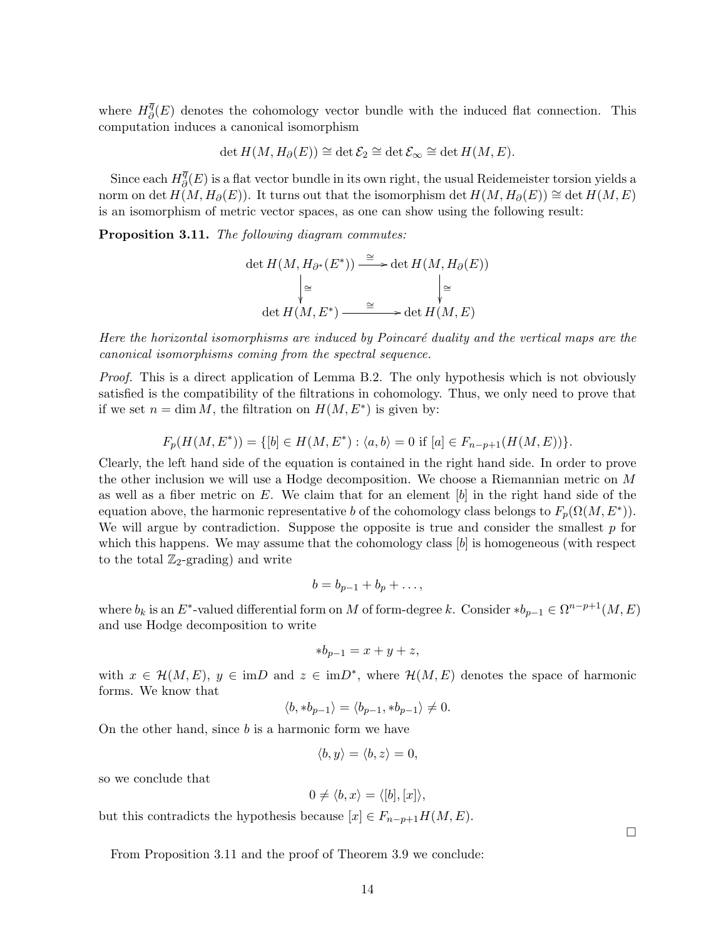where  $H^{\overline{q}}_{\partial}$  $^q_{\partial}(E)$  denotes the cohomology vector bundle with the induced flat connection. This computation induces a canonical isomorphism

$$
\det H(M, H_{\partial}(E)) \cong \det \mathcal{E}_2 \cong \det \mathcal{E}_{\infty} \cong \det H(M, E).
$$

Since each  $H^{\overline{q}}_{\partial}$  $^q_{\partial}(E)$  is a flat vector bundle in its own right, the usual Reidemeister torsion yields a norm on det  $H(M, H_\partial(E))$ . It turns out that the isomorphism det  $H(M, H_\partial(E)) \cong$  det  $H(M, E)$ is an isomorphism of metric vector spaces, as one can show using the following result:

Proposition 3.11. The following diagram commutes:

$$
\det H(M, H_{\partial^*}(E^*)) \xrightarrow{\cong} \det H(M, H_{\partial}(E))
$$

$$
\Big| \cong \Big| \cong
$$

$$
\det H(M, E^*) \xrightarrow{\cong} \det H(M, E)
$$

Here the horizontal isomorphisms are induced by Poincaré duality and the vertical maps are the canonical isomorphisms coming from the spectral sequence.

Proof. This is a direct application of Lemma B.2. The only hypothesis which is not obviously satisfied is the compatibility of the filtrations in cohomology. Thus, we only need to prove that if we set  $n = \dim M$ , the filtration on  $H(M, E^*)$  is given by:

$$
F_p(H(M, E^*)) = \{ [b] \in H(M, E^*) : \langle a, b \rangle = 0 \text{ if } [a] \in F_{n-p+1}(H(M, E)) \}.
$$

Clearly, the left hand side of the equation is contained in the right hand side. In order to prove the other inclusion we will use a Hodge decomposition. We choose a Riemannian metric on M as well as a fiber metric on  $E$ . We claim that for an element  $[b]$  in the right hand side of the equation above, the harmonic representative b of the cohomology class belongs to  $F_p(\Omega(M, E^*))$ . We will argue by contradiction. Suppose the opposite is true and consider the smallest  $p$  for which this happens. We may assume that the cohomology class  $[b]$  is homogeneous (with respect to the total  $\mathbb{Z}_2$ -grading) and write

$$
b=b_{p-1}+b_p+\ldots,
$$

where  $b_k$  is an  $E^*$ -valued differential form on M of form-degree k. Consider  $* b_{p-1} \in \Omega^{n-p+1}(M, E)$ and use Hodge decomposition to write

$$
*b_{p-1} = x + y + z,
$$

with  $x \in \mathcal{H}(M, E)$ ,  $y \in \text{im}D$  and  $z \in \text{im}D^*$ , where  $\mathcal{H}(M, E)$  denotes the space of harmonic forms. We know that

$$
\langle b, *b_{p-1} \rangle = \langle b_{p-1}, *b_{p-1} \rangle \neq 0.
$$

On the other hand, since  $b$  is a harmonic form we have

$$
\langle b, y \rangle = \langle b, z \rangle = 0,
$$

so we conclude that

$$
0 \neq \langle b, x \rangle = \langle [b], [x] \rangle,
$$

but this contradicts the hypothesis because  $[x] \in F_{n-p+1}H(M, E)$ .

From Proposition 3.11 and the proof of Theorem 3.9 we conclude:

□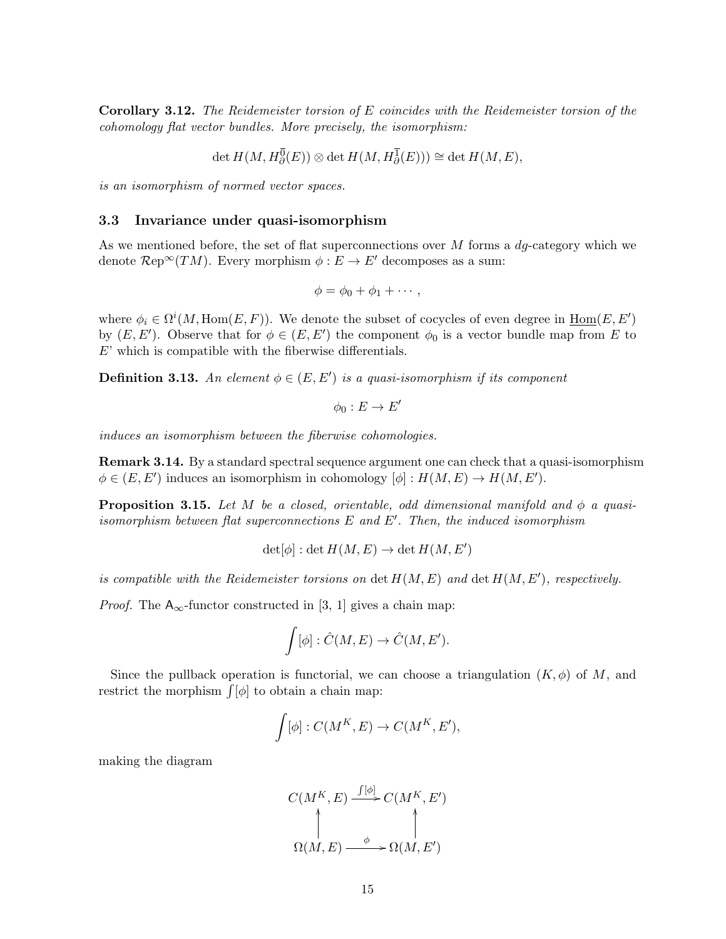Corollary 3.12. The Reidemeister torsion of E coincides with the Reidemeister torsion of the cohomology flat vector bundles. More precisely, the isomorphism:

$$
\det H(M, H^{\overline{0}}_{\partial}(E)) \otimes \det H(M, H^{\overline{1}}_{\partial}(E))) \cong \det H(M, E),
$$

is an isomorphism of normed vector spaces.

#### 3.3 Invariance under quasi-isomorphism

As we mentioned before, the set of flat superconnections over  $M$  forms a  $dq$ -category which we denote  $\mathcal{R}ep^{\infty}(TM)$ . Every morphism  $\phi : E \to E'$  decomposes as a sum:

$$
\phi = \phi_0 + \phi_1 + \cdots,
$$

where  $\phi_i \in \Omega^i(M, \text{Hom}(E, F))$ . We denote the subset of cocycles of even degree in  $\underline{\text{Hom}}(E, E')$ by  $(E, E')$ . Observe that for  $\phi \in (E, E')$  the component  $\phi_0$  is a vector bundle map from E to E' which is compatible with the fiberwise differentials.

**Definition 3.13.** An element  $\phi \in (E, E')$  is a quasi-isomorphism if its component

$$
\phi_0: E \to E'
$$

induces an isomorphism between the fiberwise cohomologies.

Remark 3.14. By a standard spectral sequence argument one can check that a quasi-isomorphism  $\phi \in (E, E')$  induces an isomorphism in cohomology  $[\phi] : H(M, E) \to H(M, E').$ 

**Proposition 3.15.** Let M be a closed, orientable, odd dimensional manifold and  $\phi$  a quasiisomorphism between flat superconnections  $E$  and  $E'$ . Then, the induced isomorphism

$$
\det[\phi]: \det H(M, E) \to \det H(M, E')
$$

is compatible with the Reidemeister torsions on  $\det H(M, E)$  and  $\det H(M, E')$ , respectively.

*Proof.* The  $A_{\infty}$ -functor constructed in [3, 1] gives a chain map:

$$
\int [\phi] : \hat{C}(M, E) \to \hat{C}(M, E').
$$

Since the pullback operation is functorial, we can choose a triangulation  $(K, \phi)$  of M, and restrict the morphism  $\int [\phi]$  to obtain a chain map:

$$
\int [\phi] : C(M^K, E) \to C(M^K, E'),
$$

making the diagram

$$
C(M^K, E) \xrightarrow{f[\phi]} C(M^K, E')
$$
  
\n
$$
\uparrow
$$
  
\n
$$
\Omega(M, E) \xrightarrow{\phi} \Omega(M, E')
$$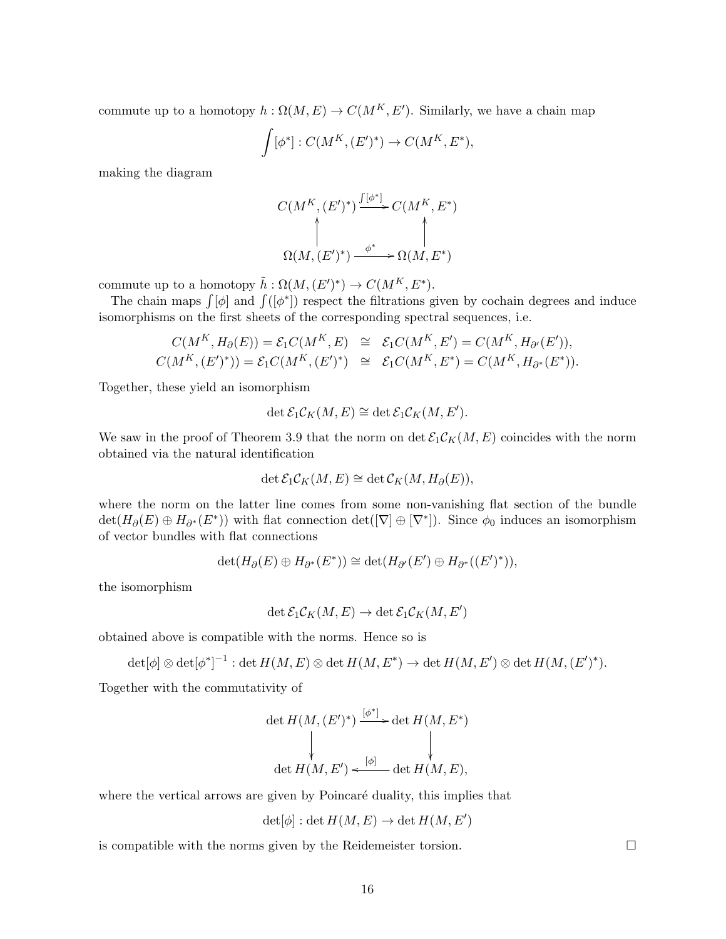commute up to a homotopy  $h: \Omega(M, E) \to C(M^K, E')$ . Similarly, we have a chain map

$$
\int [\phi^*] : C(M^K,(E')^*) \to C(M^K,E^*),
$$

making the diagram

$$
C(M^K,(E')^*) \xrightarrow{\int [\phi^*]} C(M^K,E^*)
$$
  
\n
$$
\uparrow
$$
  
\n
$$
\Omega(M,(E')^*) \xrightarrow{\phi^*} \Omega(M,E^*)
$$

commute up to a homotopy  $\tilde{h}: \Omega(M, (E')^*) \to C(M^K, E^*)$ .

The chain maps  $\int [\phi]$  and  $\int ([\phi^*])$  respect the filtrations given by cochain degrees and induce isomorphisms on the first sheets of the corresponding spectral sequences, i.e.

$$
C(M^K, H_\partial(E)) = \mathcal{E}_1 C(M^K, E) \cong \mathcal{E}_1 C(M^K, E') = C(M^K, H_{\partial'}(E')),
$$
  

$$
C(M^K, (E')^*)) = \mathcal{E}_1 C(M^K, (E')^*) \cong \mathcal{E}_1 C(M^K, E^*) = C(M^K, H_{\partial^*}(E^*)).
$$

Together, these yield an isomorphism

$$
\det \mathcal{E}_1 \mathcal{C}_K(M, E) \cong \det \mathcal{E}_1 \mathcal{C}_K(M, E').
$$

We saw in the proof of Theorem 3.9 that the norm on det  $\mathcal{E}_1\mathcal{C}_K(M,E)$  coincides with the norm obtained via the natural identification

$$
\det \mathcal{E}_1 \mathcal{C}_K(M, E) \cong \det \mathcal{C}_K(M, H_\partial(E)),
$$

where the norm on the latter line comes from some non-vanishing flat section of the bundle  $\det(H_{\partial}(E) \oplus H_{\partial^*}(E^*))$  with flat connection  $\det([\nabla] \oplus [\nabla^*])$ . Since  $\phi_0$  induces an isomorphism of vector bundles with flat connections

$$
\det(H_{\partial}(E) \oplus H_{\partial^*}(E^*)) \cong \det(H_{\partial'}(E') \oplus H_{\partial^*}((E')^*)),
$$

the isomorphism

$$
\det \mathcal{E}_1 \mathcal{C}_K(M,E) \to \det \mathcal{E}_1 \mathcal{C}_K(M,E')
$$

obtained above is compatible with the norms. Hence so is

$$
\det[\phi] \otimes \det[\phi^*]^{-1} : \det H(M,E) \otimes \det H(M,E^*) \to \det H(M,E') \otimes \det H(M,(E')^*).
$$

Together with the commutativity of

$$
\det H(M, (E')^*) \xrightarrow{[\phi^*]} \det H(M, E^*)
$$
\n
$$
\downarrow \qquad \qquad \downarrow
$$
\n
$$
\det H(M, E') \xleftarrow{[\phi]} \det H(M, E),
$$

where the vertical arrows are given by Poincaré duality, this implies that

$$
\det[\phi]: \det H(M, E) \to \det H(M, E')
$$

is compatible with the norms given by the Reidemeister torsion.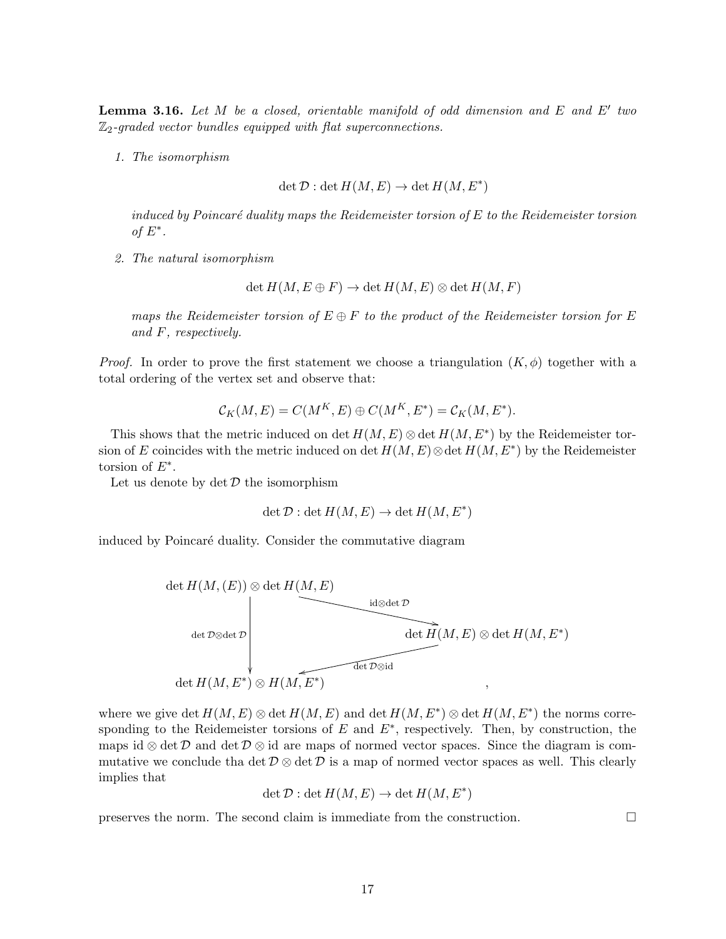**Lemma 3.16.** Let M be a closed, orientable manifold of odd dimension and E and E' two  $\mathbb{Z}_2$ -graded vector bundles equipped with flat superconnections.

1. The isomorphism

$$
\det \mathcal{D} : \det H(M, E) \to \det H(M, E^*)
$$

induced by Poincaré duality maps the Reidemeister torsion of  $E$  to the Reidemeister torsion of  $E^*$ .

2. The natural isomorphism

 $\det H(M, E \oplus F) \to \det H(M, E) \otimes \det H(M, F)$ 

maps the Reidemeister torsion of  $E \oplus F$  to the product of the Reidemeister torsion for E and F, respectively.

*Proof.* In order to prove the first statement we choose a triangulation  $(K, \phi)$  together with a total ordering of the vertex set and observe that:

$$
\mathcal{C}_K(M,E) = C(M^K,E) \oplus C(M^K,E^*) = \mathcal{C}_K(M,E^*).
$$

This shows that the metric induced on det  $H(M, E) \otimes \det H(M, E^*)$  by the Reidemeister torsion of E coincides with the metric induced on det  $H(M, E) \otimes \det H(M, E^*)$  by the Reidemeister torsion of  $E^*$ .

Let us denote by  $\det \mathcal{D}$  the isomorphism

$$
\det \mathcal{D} : \det H(M, E) \to \det H(M, E^*)
$$

induced by Poincaré duality. Consider the commutative diagram



where we give det  $H(M, E) \otimes \det H(M, E)$  and  $\det H(M, E^*) \otimes \det H(M, E^*)$  the norms corresponding to the Reidemeister torsions of  $E$  and  $E^*$ , respectively. Then, by construction, the maps id ⊗ det D and det D ⊗ id are maps of normed vector spaces. Since the diagram is commutative we conclude tha det  $\mathcal{D} \otimes \det \mathcal{D}$  is a map of normed vector spaces as well. This clearly implies that

$$
\det \mathcal{D} : \det H(M, E) \to \det H(M, E^*)
$$

preserves the norm. The second claim is immediate from the construction.  $\Box$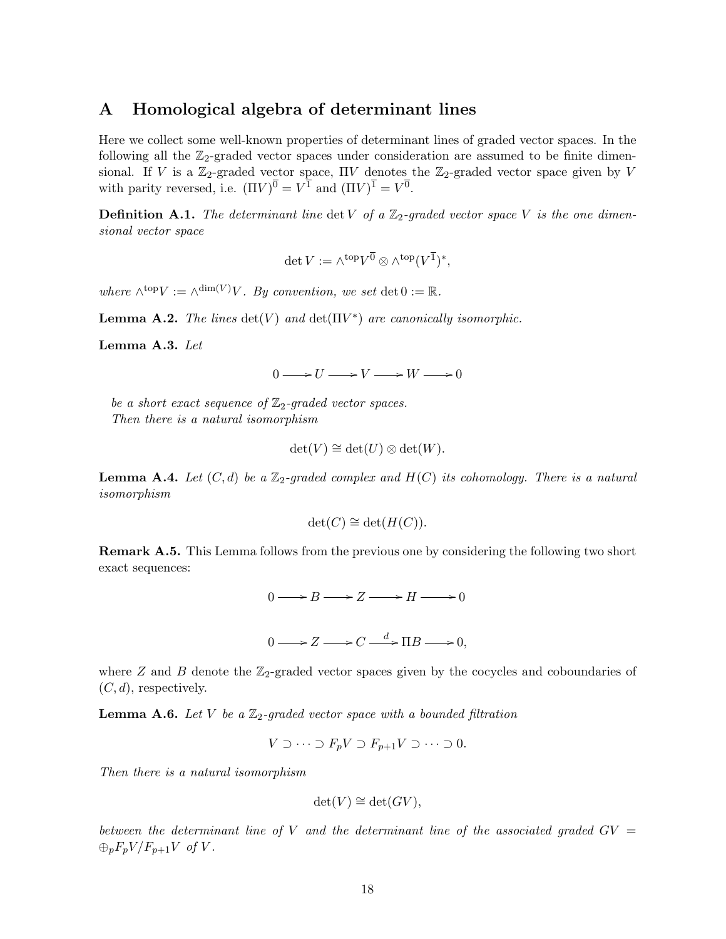### A Homological algebra of determinant lines

Here we collect some well-known properties of determinant lines of graded vector spaces. In the following all the  $\mathbb{Z}_2$ -graded vector spaces under consideration are assumed to be finite dimensional. If V is a  $\mathbb{Z}_2$ -graded vector space,  $\Pi V$  denotes the  $\mathbb{Z}_2$ -graded vector space given by V with parity reversed, i.e.  $(\Pi V)^{\overline{0}} = V^{\overline{1}}$  and  $(\Pi V)^{\overline{1}} = V^{\overline{0}}$ .

**Definition A.1.** The determinant line det V of a  $\mathbb{Z}_2$ -graded vector space V is the one dimensional vector space

$$
\det V := \wedge^{\text{top}} V^{\overline{0}} \otimes \wedge^{\text{top}} (V^{\overline{1}})^*,
$$

where  $\wedge^{\text{top}} V := \wedge^{\text{dim}(V)} V$ . By convention, we set  $\det 0 := \mathbb{R}$ .

**Lemma A.2.** The lines  $det(V)$  and  $det(\Pi V^*)$  are canonically isomorphic.

Lemma A.3. Let

 $0 \longrightarrow U \longrightarrow V \longrightarrow W \longrightarrow 0$ 

be a short exact sequence of  $\mathbb{Z}_2$ -graded vector spaces. Then there is a natural isomorphism

$$
\det(V) \cong \det(U) \otimes \det(W).
$$

**Lemma A.4.** Let  $(C, d)$  be a  $\mathbb{Z}_2$ -graded complex and  $H(C)$  its cohomology. There is a natural isomorphism

$$
\det(C) \cong \det(H(C)).
$$

Remark A.5. This Lemma follows from the previous one by considering the following two short exact sequences:

$$
0 \longrightarrow B \longrightarrow Z \longrightarrow H \longrightarrow 0
$$
  

$$
0 \longrightarrow Z \longrightarrow C \stackrel{d}{\longrightarrow} \Pi B \longrightarrow 0,
$$

where  $Z$  and  $B$  denote the  $\mathbb{Z}_2$ -graded vector spaces given by the cocycles and coboundaries of  $(C, d)$ , respectively.

**Lemma A.6.** Let V be a  $\mathbb{Z}_2$ -graded vector space with a bounded filtration

$$
V \supset \cdots \supset F_p V \supset F_{p+1} V \supset \cdots \supset 0.
$$

Then there is a natural isomorphism

$$
\det(V) \cong \det(GV),
$$

between the determinant line of V and the determinant line of the associated graded  $GV =$  $\bigoplus_p F_pV/F_{p+1}V$  of V.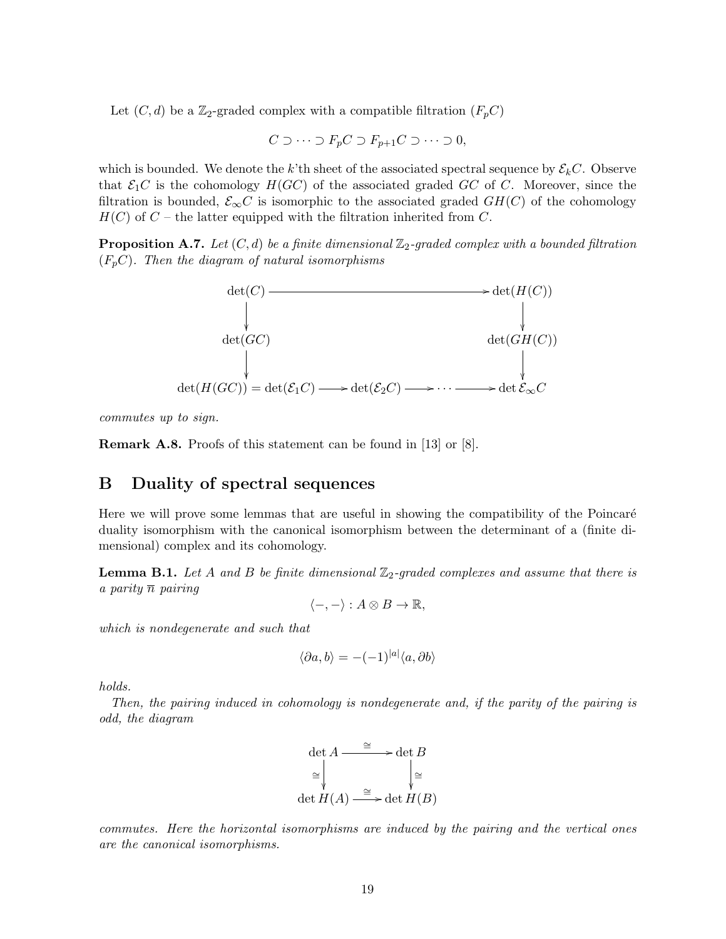Let  $(C, d)$  be a Z<sub>2</sub>-graded complex with a compatible filtration  $(F_p C)$ 

$$
C \supset \cdots \supset F_p C \supset F_{p+1} C \supset \cdots \supset 0,
$$

which is bounded. We denote the k'th sheet of the associated spectral sequence by  $\mathcal{E}_k C$ . Observe that  $\mathcal{E}_1 C$  is the cohomology  $H(GC)$  of the associated graded GC of C. Moreover, since the filtration is bounded,  $\mathcal{E}_{\infty}C$  is isomorphic to the associated graded  $GH(C)$  of the cohomology  $H(C)$  of  $C$  – the latter equipped with the filtration inherited from C.

**Proposition A.7.** Let  $(C, d)$  be a finite dimensional  $\mathbb{Z}_2$ -graded complex with a bounded filtration  $(F_pC)$ . Then the diagram of natural isomorphisms



commutes up to sign.

Remark A.8. Proofs of this statement can be found in [13] or [8].

## B Duality of spectral sequences

Here we will prove some lemmas that are useful in showing the compatibility of the Poincaré duality isomorphism with the canonical isomorphism between the determinant of a (finite dimensional) complex and its cohomology.

**Lemma B.1.** Let A and B be finite dimensional  $\mathbb{Z}_2$ -graded complexes and assume that there is a parity  $\overline{n}$  pairing

$$
\langle -, - \rangle : A \otimes B \to \mathbb{R},
$$

which is nondegenerate and such that

$$
\langle \partial a, b \rangle = -(-1)^{|a|} \langle a, \partial b \rangle
$$

holds.

Then, the pairing induced in cohomology is nondegenerate and, if the parity of the pairing is odd, the diagram



commutes. Here the horizontal isomorphisms are induced by the pairing and the vertical ones are the canonical isomorphisms.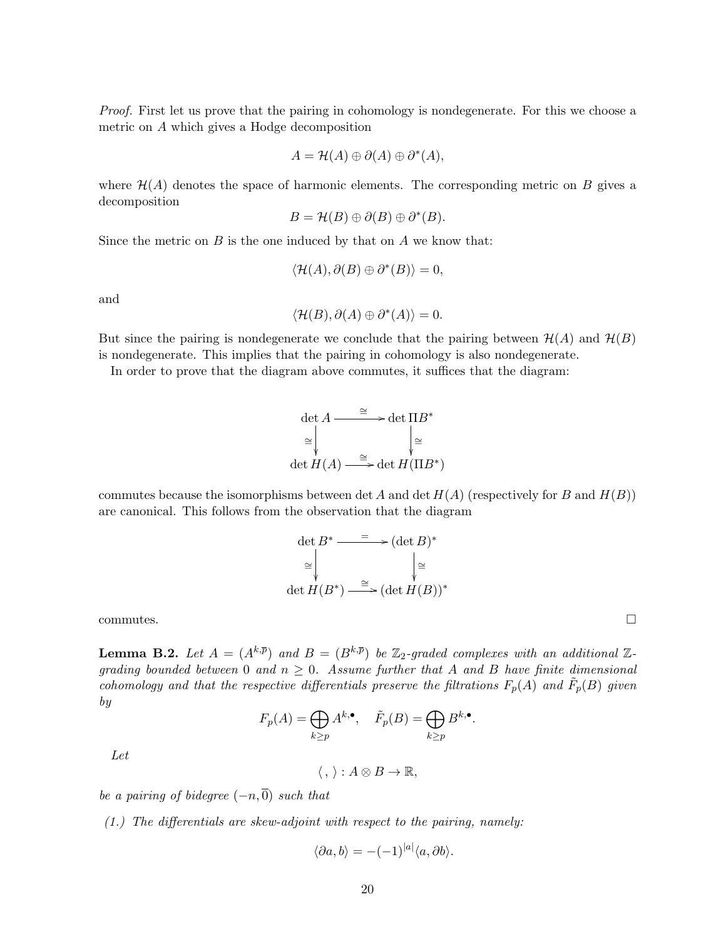Proof. First let us prove that the pairing in cohomology is nondegenerate. For this we choose a metric on A which gives a Hodge decomposition

$$
A = \mathcal{H}(A) \oplus \partial(A) \oplus \partial^*(A),
$$

where  $\mathcal{H}(A)$  denotes the space of harmonic elements. The corresponding metric on B gives a decomposition

$$
B = \mathcal{H}(B) \oplus \partial(B) \oplus \partial^*(B).
$$

Since the metric on  $B$  is the one induced by that on  $A$  we know that:

$$
\langle \mathcal{H}(A), \partial(B) \oplus \partial^*(B) \rangle = 0,
$$

and

$$
\langle \mathcal{H}(B), \partial(A) \oplus \partial^*(A) \rangle = 0.
$$

But since the pairing is nondegenerate we conclude that the pairing between  $\mathcal{H}(A)$  and  $\mathcal{H}(B)$ is nondegenerate. This implies that the pairing in cohomology is also nondegenerate.

In order to prove that the diagram above commutes, it suffices that the diagram:

$$
\det A \xrightarrow{\cong} \det \Pi B^*
$$
  
\n
$$
\cong \bigg\downarrow^{\cong} \bigg\downarrow^{\cong}
$$
  
\n
$$
\det H(A) \xrightarrow{\cong} \det H(\Pi B^*)
$$

commutes because the isomorphisms between det A and det  $H(A)$  (respectively for B and  $H(B)$ ) are canonical. This follows from the observation that the diagram

$$
\det B^* \xrightarrow{\qquad \qquad } (\det B)^* \\
\cong \qquad \qquad \downarrow \cong \\
\det H(B^*) \xrightarrow{\cong} (\det H(B))^*
$$

 $\Box$ commutes.

**Lemma B.2.** Let  $A = (A^{k,\overline{p}})$  and  $B = (B^{k,\overline{p}})$  be  $\mathbb{Z}_2$ -graded complexes with an additional  $\mathbb{Z}_2$ grading bounded between 0 and  $n \geq 0$ . Assume further that A and B have finite dimensional cohomology and that the respective differentials preserve the filtrations  $F_p(A)$  and  $\tilde{F}_p(B)$  given by

$$
F_p(A) = \bigoplus_{k \ge p} A^{k,\bullet}, \quad \tilde{F}_p(B) = \bigoplus_{k \ge p} B^{k,\bullet}.
$$

Let

 $\langle , \rangle : A \otimes B \to \mathbb{R},$ 

be a pairing of bidegree  $(-n, 0)$  such that

(1.) The differentials are skew-adjoint with respect to the pairing, namely:

$$
\langle \partial a, b \rangle = -(-1)^{|a|} \langle a, \partial b \rangle.
$$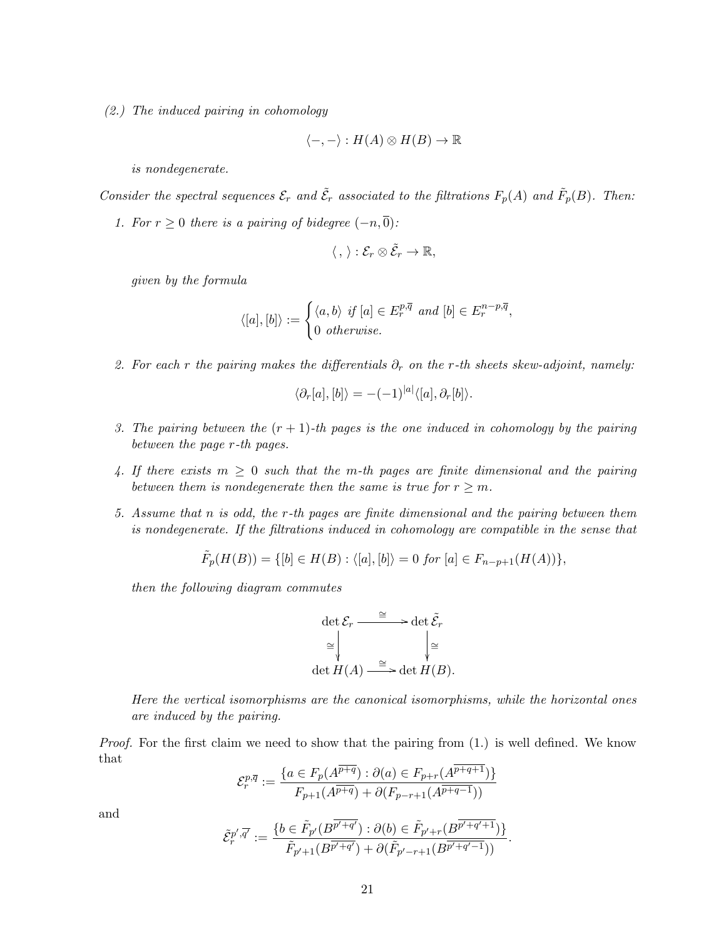(2.) The induced pairing in cohomology

$$
\langle -, - \rangle : H(A) \otimes H(B) \to \mathbb{R}
$$

is nondegenerate.

Consider the spectral sequences  $\mathcal{E}_r$  and  $\tilde{\mathcal{E}}_r$  associated to the filtrations  $F_p(A)$  and  $\tilde{F}_p(B)$ . Then:

1. For  $r \geq 0$  there is a pairing of bidegree  $(-n, \overline{0})$ :

$$
\langle\,,\,\rangle:\mathcal{E}_r\otimes\tilde{\mathcal{E}}_r\to\mathbb{R},
$$

given by the formula

$$
\langle [a],[b]\rangle := \begin{cases} \langle a,b\rangle \text{ if } [a] \in E_r^{p,\overline{q}} \text{ and } [b] \in E_r^{n-p,\overline{q}},\\ 0 \text{ otherwise.} \end{cases}
$$

2. For each r the pairing makes the differentials  $\partial_r$  on the r-th sheets skew-adjoint, namely:

$$
\langle \partial_r[a],[b] \rangle = -(-1)^{|a|} \langle [a], \partial_r[b] \rangle.
$$

- 3. The pairing between the  $(r + 1)$ -th pages is the one induced in cohomology by the pairing between the page r-th pages.
- 4. If there exists  $m \geq 0$  such that the m-th pages are finite dimensional and the pairing between them is nondegenerate then the same is true for  $r \geq m$ .
- 5. Assume that n is odd, the r-th pages are finite dimensional and the pairing between them is nondegenerate. If the filtrations induced in cohomology are compatible in the sense that

$$
\tilde{F}_p(H(B)) = \{ [b] \in H(B) : \langle [a], [b] \rangle = 0 \text{ for } [a] \in F_{n-p+1}(H(A)) \},
$$

then the following diagram commutes

$$
\det \mathcal{E}_r \xrightarrow{\cong} \det \tilde{\mathcal{E}}_r
$$

$$
\cong \Big\downarrow^{\cong} \Big\downarrow^{\cong} \det H(A) \xrightarrow{\cong} \det H(B).
$$

Here the vertical isomorphisms are the canonical isomorphisms, while the horizontal ones are induced by the pairing.

Proof. For the first claim we need to show that the pairing from  $(1)$  is well defined. We know that

$$
\mathcal{E}_r^{p,\overline{q}} := \frac{\{a \in F_p(A^{\overline{p+q}}) : \partial(a) \in F_{p+r}(A^{\overline{p+q+1}})\}}{F_{p+1}(A^{\overline{p+q}}) + \partial(F_{p-r+1}(A^{\overline{p+q-1}}))}
$$

and

$$
\tilde{\mathcal{E}}_r^{p',\overline{q'}} := \frac{\{b \in \tilde{F}_{p'}(B^{\overline{p'+q'}}) : \partial(b) \in \tilde{F}_{p'+r}(B^{\overline{p'+q'+1}})\}}{\tilde{F}_{p'+1}(B^{\overline{p'+q'}}) + \partial(\tilde{F}_{p'-r+1}(B^{\overline{p'+q'-1}}))}
$$

.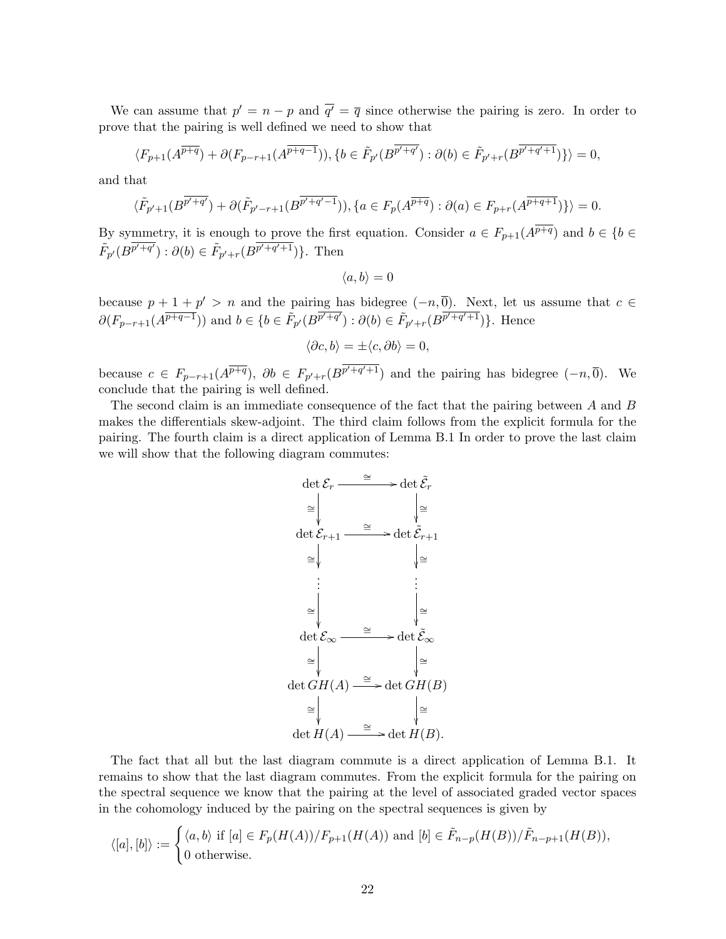We can assume that  $p' = n - p$  and  $\overline{q'} = \overline{q}$  since otherwise the pairing is zero. In order to prove that the pairing is well defined we need to show that

$$
\langle F_{p+1}(A^{\overline{p+q}}) + \partial (F_{p-r+1}(A^{\overline{p+q-1}})), \{b \in \tilde{F}_{p'}(B^{\overline{p'+q'}}) : \partial(b) \in \tilde{F}_{p'+r}(B^{\overline{p'+q'+1}})\}\rangle = 0,
$$

and that

$$
\langle \tilde{F}_{p'+1}(B^{\overline{p'+q'}}) + \partial(\tilde{F}_{p'-r+1}(B^{\overline{p'+q'-1}})), \{a \in F_p(A^{\overline{p+q}}) : \partial(a) \in F_{p+r}(A^{\overline{p+q+1}})\}\rangle = 0.
$$

By symmetry, it is enough to prove the first equation. Consider  $a \in F_{p+1}(A^{\overline{p+q}})$  and  $b \in \{b \in$  $\tilde{F}_{p'}(B^{\overline{p'+q'}}): \partial(b) \in \tilde{F}_{p'+r}(B^{\overline{p'+q'+1}})\}.$  Then

$$
\langle a, b \rangle = 0
$$

because  $p + 1 + p' > n$  and the pairing has bidegree  $(-n, 0)$ . Next, let us assume that  $c \in$  $\partial(F_{p-r+1}(A^{\overline{p+q-1}}))$  and  $b \in \{b \in \tilde{F}_{p'}(B^{\overline{p'+q'}}): \partial(b) \in \tilde{F}_{p'+r}(B^{\overline{p'+q'+1}})\}\.$  Hence

$$
\langle \partial c, b \rangle = \pm \langle c, \partial b \rangle = 0,
$$

because  $c \in F_{p-r+1}(A^{\overline{p+q}}), \ \partial b \in F_{p'+r}(B^{\overline{p'+q'+1}})$  and the pairing has bidegree  $(-n, \overline{0})$ . We conclude that the pairing is well defined.

The second claim is an immediate consequence of the fact that the pairing between A and B makes the differentials skew-adjoint. The third claim follows from the explicit formula for the pairing. The fourth claim is a direct application of Lemma B.1 In order to prove the last claim we will show that the following diagram commutes:



The fact that all but the last diagram commute is a direct application of Lemma B.1. It remains to show that the last diagram commutes. From the explicit formula for the pairing on the spectral sequence we know that the pairing at the level of associated graded vector spaces in the cohomology induced by the pairing on the spectral sequences is given by

$$
\langle [a],[b]\rangle := \begin{cases} \langle a,b\rangle \text{ if } [a] \in F_p(H(A))/F_{p+1}(H(A)) \text{ and } [b] \in \tilde{F}_{n-p}(H(B))/\tilde{F}_{n-p+1}(H(B)),\\ 0 \text{ otherwise.} \end{cases}
$$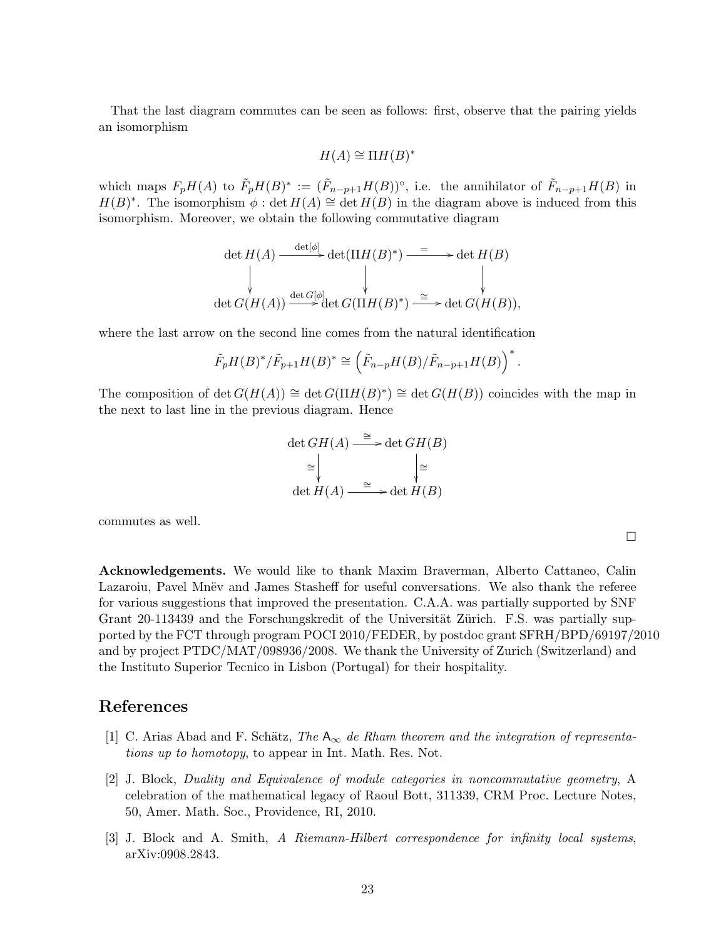That the last diagram commutes can be seen as follows: first, observe that the pairing yields an isomorphism

$$
H(A) \cong \Pi H(B)^*
$$

which maps  $F_pH(A)$  to  $\tilde{F}_pH(B)^* := (\tilde{F}_{n-p+1}H(B))^{\circ}$ , i.e. the annihilator of  $\tilde{F}_{n-p+1}H(B)$  in  $H(B)^*$ . The isomorphism  $\phi$ : det  $H(A) \cong$  det  $H(B)$  in the diagram above is induced from this isomorphism. Moreover, we obtain the following commutative diagram

$$
\det H(A) \xrightarrow{\det[\phi]} \det(\Pi H(B)^*) \xrightarrow{\equiv} \det H(B)
$$
\n
$$
\downarrow \qquad \qquad \downarrow \qquad \qquad \downarrow
$$
\n
$$
\det G(H(A)) \xrightarrow{\det G[\phi]} \det G(\Pi H(B)^*) \xrightarrow{\cong} \det G(H(B)),
$$

where the last arrow on the second line comes from the natural identification

$$
\tilde{F}_p H(B)^*/\tilde{F}_{p+1} H(B)^* \cong \left(\tilde{F}_{n-p} H(B)/\tilde{F}_{n-p+1} H(B)\right)^*.
$$

The composition of det  $G(H(A)) \cong \det G(\Pi H(B)^*) \cong \det G(H(B))$  coincides with the map in the next to last line in the previous diagram. Hence

$$
\det GH(A) \xrightarrow{\cong} \det GH(B)
$$
  
\n
$$
\cong \bigvee_{\forall \text{det } H(A) \xrightarrow{\cong} \det H(B)}
$$

commutes as well.

Acknowledgements. We would like to thank Maxim Braverman, Alberto Cattaneo, Calin Lazaroiu, Pavel Mnëv and James Stasheff for useful conversations. We also thank the referee for various suggestions that improved the presentation. C.A.A. was partially supported by SNF Grant 20-113439 and the Forschungskredit of the Universität Zürich. F.S. was partially supported by the FCT through program POCI 2010/FEDER, by postdoc grant SFRH/BPD/69197/2010 and by project PTDC/MAT/098936/2008. We thank the University of Zurich (Switzerland) and the Instituto Superior Tecnico in Lisbon (Portugal) for their hospitality.

 $\Box$ 

### References

- [1] C. Arias Abad and F. Schätz, The  $A_{\infty}$  de Rham theorem and the integration of representations up to homotopy, to appear in Int. Math. Res. Not.
- [2] J. Block, Duality and Equivalence of module categories in noncommutative geometry, A celebration of the mathematical legacy of Raoul Bott, 311339, CRM Proc. Lecture Notes, 50, Amer. Math. Soc., Providence, RI, 2010.
- [3] J. Block and A. Smith, A Riemann-Hilbert correspondence for infinity local systems, arXiv:0908.2843.